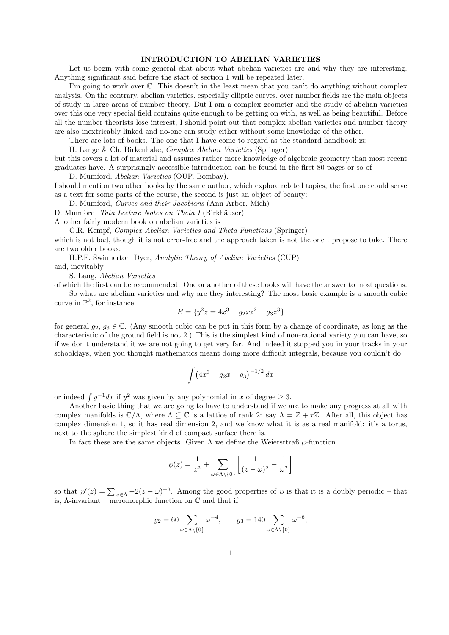## INTRODUCTION TO ABELIAN VARIETIES

Let us begin with some general chat about what abelian varieties are and why they are interesting. Anything significant said before the start of section 1 will be repeated later.

I'm going to work over C. This doesn't in the least mean that you can't do anything without complex analysis. On the contrary, abelian varieties, especially elliptic curves, over number fields are the main objects of study in large areas of number theory. But I am a complex geometer and the study of abelian varieties over this one very special field contains quite enough to be getting on with, as well as being beautiful. Before all the number theorists lose interest, I should point out that complex abelian varieties and number theory are also inextricably linked and no-one can study either without some knowledge of the other.

There are lots of books. The one that I have come to regard as the standard handbook is:

H. Lange & Ch. Birkenhake, Complex Abelian Varieties (Springer)

but this covers a lot of material and assumes rather more knowledge of algebraic geometry than most recent graduates have. A surprisingly accessible introduction can be found in the first 80 pages or so of

D. Mumford, Abelian Varieties (OUP, Bombay).

I should mention two other books by the same author, which explore related topics; the first one could serve as a text for some parts of the course, the second is just an object of beauty:

D. Mumford, Curves and their Jacobians (Ann Arbor, Mich)

D. Mumford, Tata Lecture Notes on Theta I (Birkhäuser)

Another fairly modern book on abelian varieties is

G.R. Kempf, Complex Abelian Varieties and Theta Functions (Springer) which is not bad, though it is not error-free and the approach taken is not the one I propose to take. There are two older books:

H.P.F. Swinnerton–Dyer, Analytic Theory of Abelian Varieties (CUP) and, inevitably

S. Lang, Abelian Varieties

of which the first can be recommended. One or another of these books will have the answer to most questions.

So what are abelian varieties and why are they interesting? The most basic example is a smooth cubic curve in  $\mathbb{P}^2$ , for instance

$$
E = \{y^2 z = 4x^3 - g_2 x z^2 - g_3 z^3\}
$$

for general  $g_2, g_3 \in \mathbb{C}$ . (Any smooth cubic can be put in this form by a change of coordinate, as long as the characteristic of the ground field is not 2.) This is the simplest kind of non-rational variety you can have, so if we don't understand it we are not going to get very far. And indeed it stopped you in your tracks in your schooldays, when you thought mathematics meant doing more difficult integrals, because you couldn't do

$$
\int (4x^3 - g_2 x - g_3)^{-1/2} dx
$$

or indeed  $\int y^{-1}dx$  if  $y^2$  was given by any polynomial in x of degree  $\geq 3$ .

Another basic thing that we are going to have to understand if we are to make any progress at all with complex manifolds is  $\mathbb{C}/\Lambda$ , where  $\Lambda \subseteq \mathbb{C}$  is a lattice of rank 2: say  $\Lambda = \mathbb{Z} + \tau \mathbb{Z}$ . After all, this object has complex dimension 1, so it has real dimension 2, and we know what it is as a real manifold: it's a torus, next to the sphere the simplest kind of compact surface there is.

In fact these are the same objects. Given  $\Lambda$  we define the Weiersrtraß  $\wp$ -function

$$
\wp(z) = \frac{1}{z^2} + \sum_{\omega \in \Lambda \setminus \{0\}} \left[ \frac{1}{(z - \omega)^2} - \frac{1}{\omega^2} \right]
$$

so that  $\wp'(z) = \sum_{\omega \in \Lambda} -2(z - \omega)^{-3}$ . Among the good properties of  $\wp$  is that it is a doubly periodic – that is,  $\Lambda$ -invariant – meromorphic function on  $\mathbb C$  and that if

$$
g_2 = 60 \sum_{\omega \in \Lambda \setminus \{0\}} \omega^{-4}, \qquad g_3 = 140 \sum_{\omega \in \Lambda \setminus \{0\}} \omega^{-6},
$$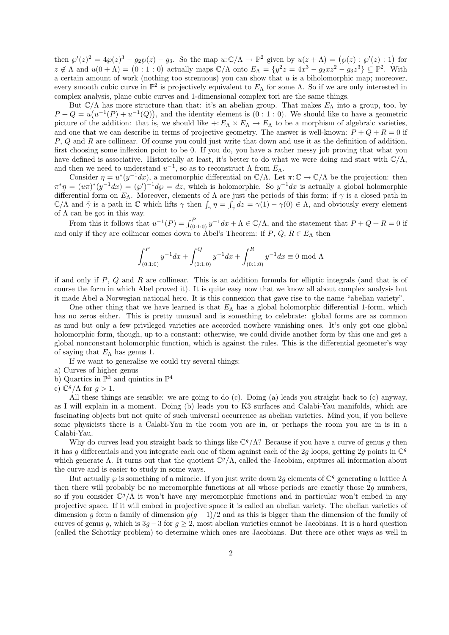then  $\wp'(z)^2 = 4\wp(z)^3 - g_2\wp(z) - g_3$ . So the map  $u: \mathbb{C}/\Lambda \to \mathbb{P}^2$  given by  $u(z + \Lambda) = (\wp(z) : \wp'(z) : 1)$  for  $z \notin \Lambda$  and  $u(0 + \Lambda) = (0 : 1 : 0)$  actually maps  $\mathbb{C}/\Lambda$  onto  $E_{\Lambda} = \{y^2z = 4x^3 - g_2xz^2 - g_3z^3\} \subseteq \mathbb{P}^2$ . With a certain amount of work (nothing too strenuous) you can show that  $u$  is a biholomorphic map; moreover, every smooth cubic curve in  $\mathbb{P}^2$  is projectively equivalent to  $E_{\Lambda}$  for some  $\Lambda$ . So if we are only interested in complex analysis, plane cubic curves and 1-dimensional complex tori are the same things.

But  $\mathbb{C}/\Lambda$  has more structure than that: it's an abelian group. That makes  $E_{\Lambda}$  into a group, too, by  $P + Q = u(u^{-1}(P) + u^{-1}(Q))$ , and the identity element is  $(0:1:0)$ . We should like to have a geometric picture of the addition: that is, we should like  $\pm: E_\Lambda \times E_\Lambda \to E_\Lambda$  to be a morphism of algebraic varieties, and one that we can describe in terms of projective geometry. The answer is well-known:  $P + Q + R = 0$  if P, Q and R are collinear. Of course you could just write that down and use it as the definition of addition, first choosing some inflexion point to be 0. If you do, you have a rather messy job proving that what you have defined is associative. Historically at least, it's better to do what we were doing and start with  $\mathbb{C}/\Lambda$ , and then we need to understand  $u^{-1}$ , so as to reconstruct  $\Lambda$  from  $E_{\Lambda}$ .

Consider  $\eta = u^*(y^{-1}dx)$ , a meromorphic differential on  $\mathbb{C}/\Lambda$ . Let  $\pi: \mathbb{C} \to \mathbb{C}/\Lambda$  be the projection: then  $\pi^* \eta = (u\pi)^* (y^{-1}dx) = (\varphi')^{-1}d\varphi = dz$ , which is holomorphic. So  $y^{-1}dx$  is actually a global holomorphic differential form on  $E_\Lambda$ . Moreover, elements of  $\Lambda$  are just the periods of this form: if  $\gamma$  is a closed path in  $\mathbb{C}/\Lambda$  and  $\tilde{\gamma}$  is a path in  $\mathbb C$  which lifts  $\gamma$  then  $\int_{\gamma} \eta = \int_{\tilde{\gamma}} dz = \gamma(1) - \gamma(0) \in \Lambda$ , and obviously every element of  $\Lambda$  can be got in this way.

From this it follows that  $u^{-1}(P) = \int_{(0:1:0)}^P y^{-1} dx + \Lambda \in \mathbb{C}/\Lambda$ , and the statement that  $P + Q + R = 0$  if and only if they are collinear comes down to Abel's Theorem: if  $P, Q, R \in E_{\Lambda}$  then

$$
\int_{(0:1:0)}^{P} y^{-1} dx + \int_{(0:1:0)}^{Q} y^{-1} dx + \int_{(0:1:0)}^{R} y^{-1} dx \equiv 0 \mod \Lambda
$$

if and only if  $P$ ,  $Q$  and  $R$  are collinear. This is an addition formula for elliptic integrals (and that is of course the form in which Abel proved it). It is quite easy now that we know all about complex analysis but it made Abel a Norwegian national hero. It is this connexion that gave rise to the name "abelian variety".

One other thing that we have learned is that  $E_{\Lambda}$  has a global holomorphic differential 1-form, which has no zeros either. This is pretty unusual and is something to celebrate: global forms are as common as mud but only a few privileged varieties are accorded nowhere vanishing ones. It's only got one global holomorphic form, though, up to a constant: otherwise, we could divide another form by this one and get a global nonconstant holomorphic function, which is against the rules. This is the differential geometer's way of saying that  $E_{\Lambda}$  has genus 1.

If we want to generalise we could try several things:

- a) Curves of higher genus
- b) Quartics in  $\mathbb{P}^3$  and quintics in  $\mathbb{P}^4$

c) 
$$
\mathbb{C}^g/\Lambda
$$
 for  $g > 1$ .

All these things are sensible: we are going to do (c). Doing (a) leads you straight back to (c) anyway, as I will explain in a moment. Doing (b) leads you to K3 surfaces and Calabi-Yau manifolds, which are fascinating objects but not quite of such universal occurrence as abelian varieties. Mind you, if you believe some physicists there is a Calabi-Yau in the room you are in, or perhaps the room you are in is in a Calabi-Yau.

Why do curves lead you straight back to things like  $\mathbb{C}^g/\Lambda$ ? Because if you have a curve of genus g then it has g differentials and you integrate each one of them against each of the 2g loops, getting 2g points in  $\mathbb{C}^g$ which generate  $\Lambda$ . It turns out that the quotient  $\mathbb{C}^g/\Lambda$ , called the Jacobian, captures all information about the curve and is easier to study in some ways.

But actually  $\wp$  is something of a miracle. If you just write down 2g elements of  $\mathbb{C}^g$  generating a lattice  $\Lambda$ then there will probably be no meromorphic functions at all whose periods are exactly those 2g numbers, so if you consider  $\mathbb{C}^g/\Lambda$  it won't have any meromorphic functions and in particular won't embed in any projective space. If it will embed in projective space it is called an abelian variety. The abelian varieties of dimension g form a family of dimension  $g(g-1)/2$  and as this is bigger than the dimension of the family of curves of genus g, which is  $3g - 3$  for  $g \ge 2$ , most abelian varieties cannot be Jacobians. It is a hard question (called the Schottky problem) to determine which ones are Jacobians. But there are other ways as well in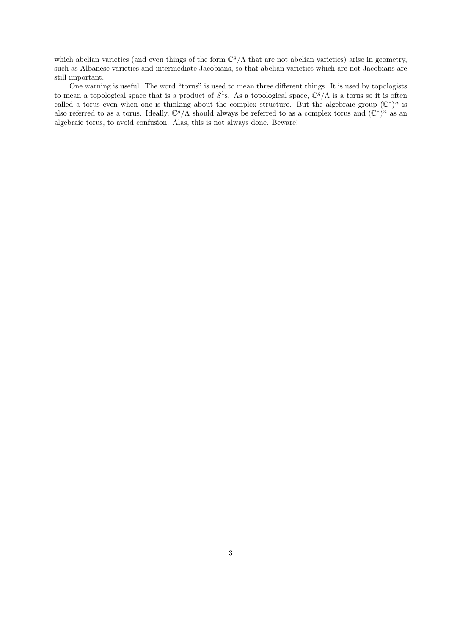which abelian varieties (and even things of the form  $\mathbb{C}^g/\Lambda$  that are not abelian varieties) arise in geometry, such as Albanese varieties and intermediate Jacobians, so that abelian varieties which are not Jacobians are still important.

One warning is useful. The word "torus" is used to mean three different things. It is used by topologists to mean a topological space that is a product of  $S^1$ s. As a topological space,  $\mathbb{C}^g/\Lambda$  is a torus so it is often called a torus even when one is thinking about the complex structure. But the algebraic group  $(\mathbb{C}^*)^n$  is also referred to as a torus. Ideally,  $\mathbb{C}^g/\Lambda$  should always be referred to as a complex torus and  $(\mathbb{C}^*)^n$  as an algebraic torus, to avoid confusion. Alas, this is not always done. Beware!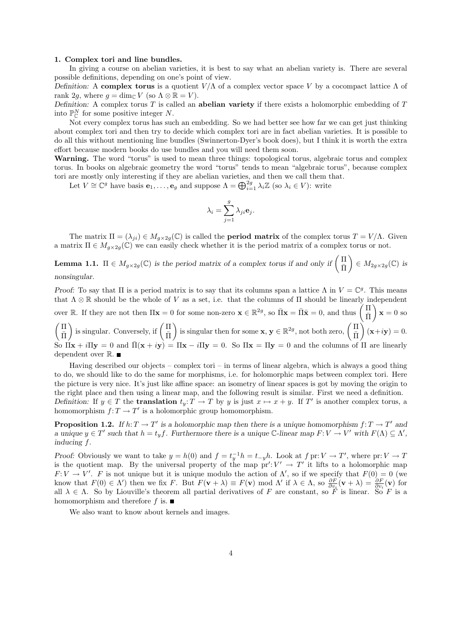### 1. Complex tori and line bundles.

In giving a course on abelian varieties, it is best to say what an abelian variety is. There are several possible definitions, depending on one's point of view.

Definition: A complex torus is a quotient  $V/\Lambda$  of a complex vector space V by a cocompact lattice  $\Lambda$  of rank 2g, where  $g = \dim_{\mathbb{C}} V$  (so  $\Lambda \otimes \mathbb{R} = V$ ).

Definition: A complex torus  $T$  is called an **abelian variety** if there exists a holomorphic embedding of  $T$ into  $\mathbb{P}^N_{\mathbb{C}}$  for some positive integer N.

Not every complex torus has such an embedding. So we had better see how far we can get just thinking about complex tori and then try to decide which complex tori are in fact abelian varieties. It is possible to do all this without mentioning line bundles (Swinnerton-Dyer's book does), but I think it is worth the extra effort because modern books do use bundles and you will need them soon.

Warning. The word "torus" is used to mean three things: topological torus, algebraic torus and complex torus. In books on algebraic geometry the word "torus" tends to mean "algebraic torus", because complex tori are mostly only interesting if they are abelian varieties, and then we call them that.

Let  $V \cong \mathbb{C}^g$  have basis  $\mathbf{e}_1, \ldots, \mathbf{e}_g$  and suppose  $\Lambda = \bigoplus_{i=1}^{2g} \lambda_i \mathbb{Z}$  (so  $\lambda_i \in V$ ): write

$$
\lambda_i = \sum_{j=1}^g \lambda_{ji} \mathbf{e}_j.
$$

The matrix  $\Pi = (\lambda_{ji}) \in M_{q \times 2q}(\mathbb{C})$  is called the **period matrix** of the complex torus  $T = V/\Lambda$ . Given a matrix  $\Pi \in M_{q \times 2q}(\mathbb{C})$  we can easily check whether it is the period matrix of a complex torus or not.

**Lemma 1.1.**  $\Pi \in M_{g \times 2g}(\mathbb{C})$  is the period matrix of a complex torus if and only if  $\begin{pmatrix} \Pi \\ \bar{\Pi} \end{pmatrix}$  $\bar{\Pi}$  $\Big) \in M_{2g \times 2g}(\mathbb{C})$  is nonsingular.

Proof: To say that  $\Pi$  is a period matrix is to say that its columns span a lattice  $\Lambda$  in  $V = \mathbb{C}^g$ . This means that  $\Lambda \otimes \mathbb{R}$  should be the whole of V as a set, i.e. that the columns of  $\Pi$  should be linearly independent over R. If they are not then  $\Pi \mathbf{x} = 0$  for some non-zero  $\mathbf{x} \in \mathbb{R}^{2g}$ , so  $\bar{\Pi} \mathbf{x} = \bar{\Pi} \bar{\mathbf{x}} = 0$ , and thus  $\begin{pmatrix} \Pi \\ \bar{\Pi} \end{pmatrix}$  $\bar{\Pi}$  $x = 0$  so

 $\sqrt{\Pi}$  $\bar{\Pi}$ ) is singular. Conversely, if  $\left(\begin{array}{c}\n\Pi \\
\hline\n\end{array}\right)$  $\bar{\Pi}$ ) is singular then for some  $\mathbf{x}, \mathbf{y} \in \mathbb{R}^{2g}$ , not both zero,  $\begin{pmatrix} \Pi \\ \bar{\mathbf{n}} \end{pmatrix}$  $\bar{\Pi}$  $(x+iy) = 0.$ So  $\Pi$ **x** + i $\Pi$ **y** = 0 and  $\Pi$ (**x** + i**y**) =  $\Pi$ **x** - i $\Pi$ **y** = 0. So  $\Pi$ **x** =  $\Pi$ **y** = 0 and the columns of  $\Pi$  are linearly dependent over  $\mathbb R.$   $\blacksquare$ 

Having described our objects – complex tori – in terms of linear algebra, which is always a good thing to do, we should like to do the same for morphisms, i.e. for holomorphic maps between complex tori. Here the picture is very nice. It's just like affine space: an isometry of linear spaces is got by moving the origin to the right place and then using a linear map, and the following result is similar. First we need a definition. Definition: If  $y \in T$  the **translation**  $t_y: T \to T$  by y is just  $x \mapsto x + y$ . If T' is another complex torus, a homomorphism  $f: T \to T'$  is a holomorphic group homomorphism.

**Proposition 1.2.** If  $h: T \to T'$  is a holomorphic map then there is a unique homomorphism  $f: T \to T'$  and a unique  $y \in T'$  such that  $h = t_y f$ . Furthermore there is a unique C-linear map  $F: V \to V'$  with  $F(\Lambda) \subseteq \Lambda'$ , inducing f.

Proof: Obviously we want to take  $y = h(0)$  and  $f = t_y^{-1}h = t_{-y}h$ . Look at  $f \text{ pr}: V \to T'$ , where  $\text{ pr}: V \to T'$ is the quotient map. By the universal property of the map  $pr' : V' \to T'$  it lifts to a holomorphic map  $F: V \to V'$ . F is not unique but it is unique modulo the action of  $\Lambda'$ , so if we specify that  $F(0) = 0$  (we know that  $F(0) \in \Lambda'$  then we fix F. But  $F(\mathbf{v} + \lambda) \equiv F(\mathbf{v}) \mod \Lambda'$  if  $\lambda \in \Lambda$ , so  $\frac{\partial F}{\partial v_i}(\mathbf{v} + \lambda) = \frac{\partial F}{\partial v_i}(\mathbf{v})$  for all  $\lambda \in \Lambda$ . So by Liouville's theorem all partial derivatives of F are constant, so F is linear. So F is a homomorphism and therefore f is.  $\blacksquare$ 

We also want to know about kernels and images.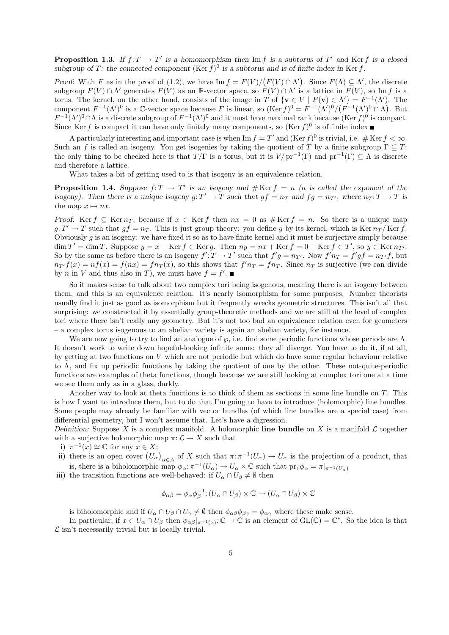**Proposition 1.3.** If  $f: T \to T'$  is a homomorphism then Im f is a subtorus of T' and Ker f is a closed subgroup of T: the connected component  $(\text{Ker } f)^0$  is a subtorus and is of finite index in Ker f.

Proof: With F as in the proof of (1.2), we have  $\text{Im } f = F(V)/(F(V) \cap \Lambda')$ . Since  $F(\Lambda) \subseteq \Lambda'$ , the discrete subgroup  $F(V) \cap \Lambda'$  generates  $F(V)$  as an R-vector space, so  $F(V) \cap \Lambda'$  is a lattice in  $F(V)$ , so Im f is a torus. The kernel, on the other hand, consists of the image in T of  $\{v \in V \mid F(v) \in \Lambda'\}=F^{-1}(\Lambda')$ . The component  $F^{-1}(\Lambda')^0$  is a C-vector space because F is linear, so  $(\text{Ker } f)^0 = F^{-1}(\Lambda')^0 / (F^{-1}(\Lambda')^0 \cap \Lambda)$ . But  $F^{-1}(\Lambda')^0 \cap \Lambda$  is a discrete subgroup of  $F^{-1}(\Lambda')^0$  and it must have maximal rank because (Ker f)<sup>0</sup> is compact. Since Ker f is compact it can have only finitely many components, so  $(\text{Ker } f)^0$  is of finite index

A particularly interesting and important case is when Im  $f = T'$  and  $(\text{Ker } f)^0$  is trivial, i.e. #  $\text{Ker } f < \infty$ . Such an f is called an isogeny. You get isogenies by taking the quotient of T by a finite subgroup  $\Gamma \subseteq T$ : the only thing to be checked here is that  $T/\Gamma$  is a torus, but it is  $V/\text{pr}^{-1}(\Gamma)$  and  $\text{pr}^{-1}(\Gamma) \subseteq \Lambda$  is discrete and therefore a lattice.

What takes a bit of getting used to is that isogeny is an equivalence relation.

**Proposition 1.4.** Suppose  $f: T \to T'$  is an isogeny and  $\# \text{Ker } f = n$  (*n* is called the exponent of the isogeny). Then there is a unique isogeny  $g: T' \to T$  such that  $gf = n_T$  and  $fg = n_{T'}$ , where  $n_T: T \to T$  is the map  $x \mapsto nx$ .

Proof: Ker f  $\subseteq$  Ker  $n<sub>T</sub>$ , because if  $x \in$  Ker f then  $nx = 0$  as  $\#$  Ker f = n. So there is a unique map  $g: T' \to T$  such that  $gf = n_T$ . This is just group theory: you define g by its kernel, which is Ker  $n_T /$  Ker f. Obviously  $q$  is an isogeny: we have fixed it so as to have finite kernel and it must be surjective simply because  $\dim T' = \dim T$ . Suppose  $y = x + \text{Ker } f \in \text{Ker } g$ . Then  $ny = nx + \text{Ker } f = 0 + \text{Ker } f \in T'$ , so  $y \in \text{Ker } n_{T'}$ . So by the same as before there is an isogeny  $f' : T \to T'$  such that  $f'g = n_{T'}$ . Now  $f'n_T = f'gf = n_{T'}f$ , but  $n_{T} f(x) = n f(x) = f(nx) = f(n_T(x)$ , so this shows that  $f' n_T = f(n_T)$ . Since  $n_T$  is surjective (we can divide by *n* in *V* and thus also in *T*), we must have  $f = f'$ .

So it makes sense to talk about two complex tori being isogenous, meaning there is an isogeny between them, and this is an equivalence relation. It's nearly isomorphism for some purposes. Number theorists usually find it just as good as isomorphism but it frequently wrecks geometric structures. This isn't all that surprising: we constructed it by essentially group-theoretic methods and we are still at the level of complex tori where there isn't really any geometry. But it's not too bad an equivalence relation even for geometers – a complex torus isogenous to an abelian variety is again an abelian variety, for instance.

We are now going to try to find an analogue of  $\wp$ , i.e. find some periodic functions whose periods are  $\Lambda$ . It doesn't work to write down hopeful-looking infinite sums: they all diverge. You have to do it, if at all, by getting at two functions on V which are not periodic but which do have some regular behaviour relative to Λ, and fix up periodic functions by taking the quotient of one by the other. These not-quite-periodic functions are examples of theta functions, though because we are still looking at complex tori one at a time we see them only as in a glass, darkly.

Another way to look at theta functions is to think of them as sections in some line bundle on T. This is how I want to introduce them, but to do that I'm going to have to introduce (holomorphic) line bundles. Some people may already be familiar with vector bundles (of which line bundles are a special case) from differential geometry, but I won't assume that. Let's have a digression.

Definition: Suppose X is a complex manifold. A holomorphic line bundle on X is a manifold  $\mathcal L$  together with a surjective holomorphic map  $\pi: \mathcal{L} \to X$  such that

- i)  $\pi^{-1}(x) \cong \mathbb{C}$  for any  $x \in X$ ;
- ii) there is an open cover  $(U_\alpha)_{\alpha \in A}$  of X such that  $\pi: \pi^{-1}(U_\alpha) \to U_\alpha$  is the projection of a product, that is, there is a biholomorphic map  $\phi_{\alpha} : \pi^{-1}(U_{\alpha}) \to U_{\alpha} \times \mathbb{C}$  such that  ${\rm pr}_1 \phi_{\alpha} = \pi|_{\pi^{-1}(U_{\alpha})}$
- iii) the transition functions are well-behaved: if  $U_{\alpha} \cap U_{\beta} \neq \emptyset$  then

$$
\phi_{\alpha\beta} = \phi_{\alpha}\phi_{\beta}^{-1} : (U_{\alpha} \cap U_{\beta}) \times \mathbb{C} \to (U_{\alpha} \cap U_{\beta}) \times \mathbb{C}
$$

is biholomorphic and if  $U_{\alpha} \cap U_{\beta} \cap U_{\gamma} \neq \emptyset$  then  $\phi_{\alpha\beta}\phi_{\beta\gamma} = \phi_{\alpha\gamma}$  where these make sense.

In particular, if  $x \in U_\alpha \cap U_\beta$  then  $\phi_{\alpha\beta}|_{\pi^{-1}(x)} \colon \mathbb{C} \to \mathbb{C}$  is an element of  $\text{GL}(\mathbb{C}) = \mathbb{C}^*$ . So the idea is that  $\mathcal L$  isn't necessarily trivial but is locally trivial.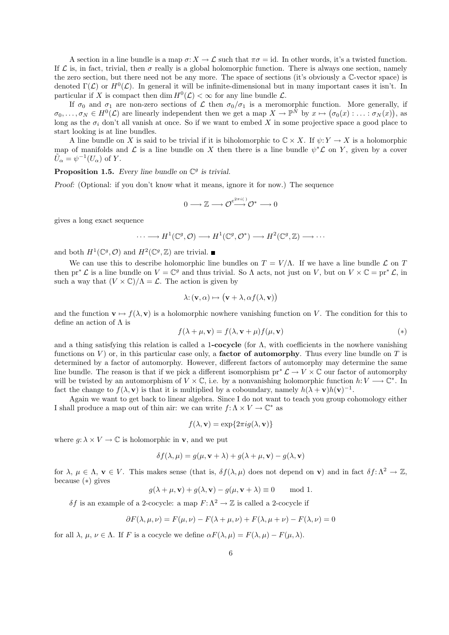A section in a line bundle is a map  $\sigma: X \to \mathcal{L}$  such that  $\pi \sigma = id$ . In other words, it's a twisted function. If  $\mathcal L$  is, in fact, trivial, then  $\sigma$  really is a global holomorphic function. There is always one section, namely the zero section, but there need not be any more. The space of sections (it's obviously a C-vector space) is denoted  $\Gamma(\mathcal{L})$  or  $H^0(\mathcal{L})$ . In general it will be infinite-dimensional but in many important cases it isn't. In particular if X is compact then dim  $H^0(\mathcal{L}) < \infty$  for any line bundle  $\mathcal{L}$ .

If  $\sigma_0$  and  $\sigma_1$  are non-zero sections of  $\mathcal L$  then  $\sigma_0/\sigma_1$  is a meromorphic function. More generally, if  $\sigma_0, \ldots, \sigma_N \in H^0(\mathcal{L})$  are linearly independent then we get a map  $X \to \mathbb{P}^N$  by  $x \mapsto (\sigma_0(x) : \ldots : \sigma_N(x))$ , as long as the  $\sigma_i$  don't all vanish at once. So if we want to embed X in some projective space a good place to start looking is at line bundles.

A line bundle on X is said to be trivial if it is biholomorphic to  $\mathbb{C} \times X$ . If  $\psi: Y \to X$  is a holomorphic map of manifolds and  $\mathcal L$  is a line bundle on X then there is a line bundle  $\psi^*\mathcal L$  on Y, given by a cover  $\tilde{U}_{\alpha} = \psi^{-1}(U_{\alpha})$  of Y.

**Proposition 1.5.** Every line bundle on  $\mathbb{C}^g$  is trivial.

Proof: (Optional: if you don't know what it means, ignore it for now.) The sequence

$$
0\longrightarrow \mathbb{Z}\longrightarrow \mathcal{O}^{e^{2\pi i(\cdot)}}\mathcal{O}^*\longrightarrow 0
$$

gives a long exact sequence

$$
\cdots \longrightarrow H^1(\mathbb{C}^g, \mathcal{O}) \longrightarrow H^1(\mathbb{C}^g, \mathcal{O}^*) \longrightarrow H^2(\mathbb{C}^g, \mathbb{Z}) \longrightarrow \cdots
$$

and both  $H^1(\mathbb{C}^g, \mathcal{O})$  and  $H^2(\mathbb{C}^g, \mathbb{Z})$  are trivial.

We can use this to describe holomorphic line bundles on  $T = V/\Lambda$ . If we have a line bundle  $\mathcal L$  on T then  $pr^* \mathcal{L}$  is a line bundle on  $V = \mathbb{C}^g$  and thus trivial. So  $\Lambda$  acts, not just on  $V$ , but on  $V \times \mathbb{C} = pr^* \mathcal{L}$ , in such a way that  $(V \times \mathbb{C})/\Lambda = \mathcal{L}$ . The action is given by

$$
\lambda: (\mathbf{v}, \alpha) \mapsto (\mathbf{v} + \lambda, \alpha f(\lambda, \mathbf{v}))
$$

and the function  $\mathbf{v} \mapsto f(\lambda, \mathbf{v})$  is a holomorphic nowhere vanishing function on V. The condition for this to define an action of Λ is

$$
f(\lambda + \mu, \mathbf{v}) = f(\lambda, \mathbf{v} + \mu) f(\mu, \mathbf{v})
$$
\n<sup>(\*)</sup>

and a thing satisfying this relation is called a 1-cocycle (for  $\Lambda$ , with coefficients in the nowhere vanishing functions on  $V$ ) or, in this particular case only, a **factor of automorphy**. Thus every line bundle on  $T$  is determined by a factor of automorphy. However, different factors of automorphy may determine the same line bundle. The reason is that if we pick a different isomorphism  $pr^* \mathcal{L} \to V \times \mathbb{C}$  our factor of automorphy will be twisted by an automorphism of  $V \times \mathbb{C}$ , i.e. by a nonvanishing holomorphic function  $h: V \longrightarrow \mathbb{C}^*$ . In fact the change to  $f(\lambda, \mathbf{v})$  is that it is multiplied by a coboundary, namely  $h(\lambda + \mathbf{v})h(\mathbf{v})^{-1}$ .

Again we want to get back to linear algebra. Since I do not want to teach you group cohomology either I shall produce a map out of thin air: we can write  $f: \Lambda \times V \to \mathbb{C}^*$  as

$$
f(\lambda, \mathbf{v}) = \exp\{2\pi i g(\lambda, \mathbf{v})\}
$$

where  $g: \lambda \times V \to \mathbb{C}$  is holomorphic in **v**, and we put

$$
\delta f(\lambda, \mu) = g(\mu, \mathbf{v} + \lambda) + g(\lambda + \mu, \mathbf{v}) - g(\lambda, \mathbf{v})
$$

for  $\lambda, \mu \in \Lambda$ ,  $\mathbf{v} \in V$ . This makes sense (that is,  $\delta f(\lambda, \mu)$  does not depend on **v**) and in fact  $\delta f: \Lambda^2 \to \mathbb{Z}$ , because (∗) gives

$$
g(\lambda + \mu, \mathbf{v}) + g(\lambda, \mathbf{v}) - g(\mu, \mathbf{v} + \lambda) \equiv 0 \quad \text{mod } 1.
$$

δf is an example of a 2-cocycle: a map  $F: \Lambda^2 \to \mathbb{Z}$  is called a 2-cocycle if

$$
\partial F(\lambda, \mu, \nu) = F(\mu, \nu) - F(\lambda + \mu, \nu) + F(\lambda, \mu + \nu) - F(\lambda, \nu) = 0
$$

for all  $\lambda$ ,  $\mu$ ,  $\nu \in \Lambda$ . If F is a cocycle we define  $\alpha F(\lambda, \mu) = F(\lambda, \mu) - F(\mu, \lambda)$ .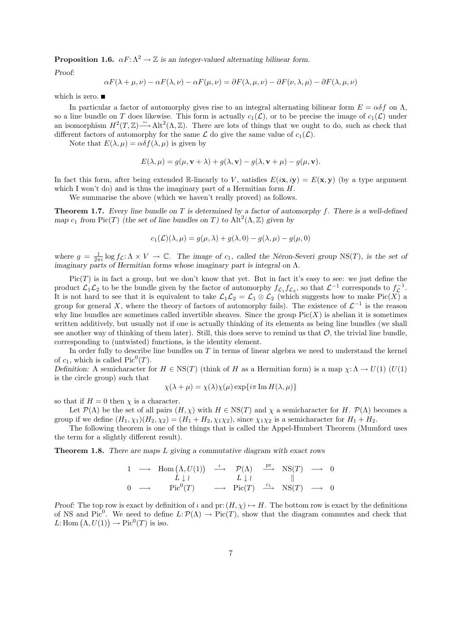**Proposition 1.6.**  $\alpha F: \Lambda^2 \to \mathbb{Z}$  is an integer-valued alternating bilinear form.

Proof:

$$
\alpha F(\lambda + \mu, \nu) - \alpha F(\lambda, \nu) - \alpha F(\mu, \nu) = \partial F(\lambda, \mu, \nu) - \partial F(\nu, \lambda, \mu) - \partial F(\lambda, \mu, \nu)
$$

which is zero.  $\blacksquare$ 

In particular a factor of automorphy gives rise to an integral alternating bilinear form  $E = \alpha \delta f$  on  $\Lambda$ , so a line bundle on T does likewise. This form is actually  $c_1(\mathcal{L})$ , or to be precise the image of  $c_1(\mathcal{L})$  under an isomorphism  $H^2(T,\mathbb{Z}) \longrightarrow \text{Alt}^2(\Lambda,\mathbb{Z})$ . There are lots of things that we ought to do, such as check that different factors of automorphy for the same  $\mathcal L$  do give the same value of  $c_1(\mathcal L)$ .

Note that  $E(\lambda, \mu) = \alpha \delta f(\lambda, \mu)$  is given by

$$
E(\lambda, \mu) = g(\mu, \mathbf{v} + \lambda) + g(\lambda, \mathbf{v}) - g(\lambda, \mathbf{v} + \mu) - g(\mu, \mathbf{v}).
$$

In fact this form, after being extended R-linearly to V, satisfies  $E(i\mathbf{x}, i\mathbf{y}) = E(\mathbf{x}, \mathbf{y})$  (by a type argument which I won't do) and is thus the imaginary part of a Hermitian form  $H$ .

We summarise the above (which we haven't really proved) as follows.

**Theorem 1.7.** Every line bundle on T is determined by a factor of automorphy f. There is a well-defined map  $c_1$  from Pic(T) (the set of line bundles on T) to Alt<sup>2</sup>( $\Lambda$ , Z) given by

$$
c_1(\mathcal{L})(\lambda,\mu) = g(\mu,\lambda) + g(\lambda,0) - g(\lambda,\mu) - g(\mu,0)
$$

where  $g = \frac{1}{2\pi i} \log f_{\mathcal{L}}: \Lambda \times V \to \mathbb{C}$ . The image of  $c_1$ , called the Néron-Severi group NS(T), is the set of imaginary parts of Hermitian forms whose imaginary part is integral on Λ.

 $Pic(T)$  is in fact a group, but we don't know that yet. But in fact it's easy to see: we just define the product  $\mathcal{L}_1 \mathcal{L}_2$  to be the bundle given by the factor of automorphy  $f_{\mathcal{L}_1} f_{\mathcal{L}_2}$ , so that  $\mathcal{L}^{-1}$  corresponds to  $f_{\mathcal{L}}^{-1}$ . It is not hard to see that it is equivalent to take  $\mathcal{L}_1\mathcal{L}_2 = \mathcal{L}_1 \otimes \mathcal{L}_2$  (which suggests how to make Pic(X) a group for general X, where the theory of factors of automorphy fails). The existence of  $\mathcal{L}^{-1}$  is the reason why line bundles are sometimes called invertible sheaves. Since the group  $Pic(X)$  is abelian it is sometimes written additively, but usually not if one is actually thinking of its elements as being line bundles (we shall see another way of thinking of them later). Still, this does serve to remind us that  $\mathcal{O}$ , the trivial line bundle, corresponding to (untwisted) functions, is the identity element.

In order fully to describe line bundles on  $T$  in terms of linear algebra we need to understand the kernel of  $c_1$ , which is called  $Pic^0(T)$ .

Definition: A semicharacter for  $H \in \text{NS}(T)$  (think of H as a Hermitian form) is a map  $\chi: \Lambda \to U(1)$  (U(1) is the circle group) such that

$$
\chi(\lambda + \mu) = \chi(\lambda)\chi(\mu)\exp\{i\pi \operatorname{Im} H(\lambda, \mu)\}\
$$

so that if  $H = 0$  then  $\chi$  is a character.

Let  $\mathcal{P}(\Lambda)$  be the set of all pairs  $(H, \chi)$  with  $H \in \text{NS}(T)$  and  $\chi$  a semicharacter for H.  $\mathcal{P}(\Lambda)$  becomes a group if we define  $(H_1, \chi_1)(H_2, \chi_2) = (H_1 + H_2, \chi_1 \chi_2)$ , since  $\chi_1 \chi_2$  is a semicharacter for  $H_1 + H_2$ .

The following theorem is one of the things that is called the Appel-Humbert Theorem (Mumford uses the term for a slightly different result).

**Theorem 1.8.** There are maps  $L$  giving a commutative diagram with exact rows

$$
\begin{array}{ccccccc}\n1 & \longrightarrow & \text{Hom}\begin{pmatrix} \Lambda, U(1) \end{pmatrix} & \stackrel{\iota}{\longrightarrow} & \mathcal{P}(\Lambda) & \stackrel{\text{pr}}{\longrightarrow} & \text{NS}(T) & \longrightarrow & 0 \\
L \downarrow \wr & & L \downarrow \wr & & || & & || \\
0 & \longrightarrow & \text{Pic}^0(T) & \longrightarrow & \text{Pic}(T) & \stackrel{c_1}{\longrightarrow} & \text{NS}(T) & \longrightarrow & 0\n\end{array}
$$

Proof: The top row is exact by definition of  $\iota$  and pr:  $(H, \chi) \mapsto H$ . The bottom row is exact by the definitions of NS and Pic<sup>0</sup>. We need to define  $L:\mathcal{P}(\Lambda) \to Pic(T)$ , show that the diagram commutes and check that L: Hom  $(\Lambda, U(1)) \to Pic^0(T)$  is iso.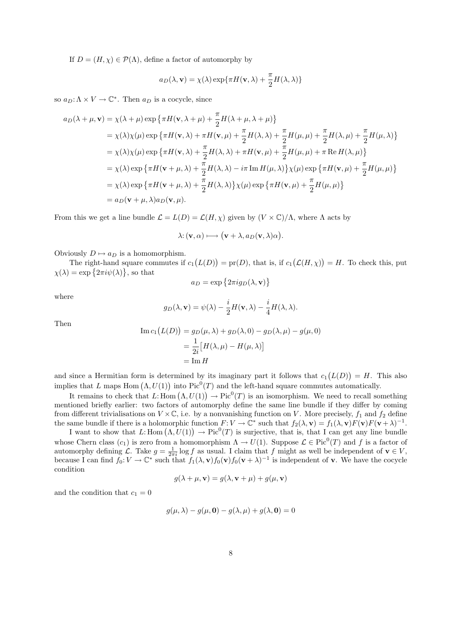If  $D = (H, \chi) \in \mathcal{P}(\Lambda)$ , define a factor of automorphy by

$$
a_D(\lambda, \mathbf{v}) = \chi(\lambda) \exp{\pi H(\mathbf{v}, \lambda) + \frac{\pi}{2} H(\lambda, \lambda)}
$$

so  $a_D: \Lambda \times V \to \mathbb{C}^*$ . Then  $a_D$  is a cocycle, since

$$
a_D(\lambda + \mu, \mathbf{v}) = \chi(\lambda + \mu) \exp \{\pi H(\mathbf{v}, \lambda + \mu) + \frac{\pi}{2} H(\lambda + \mu, \lambda + \mu)\}
$$
  
\n
$$
= \chi(\lambda)\chi(\mu) \exp \{\pi H(\mathbf{v}, \lambda) + \pi H(\mathbf{v}, \mu) + \frac{\pi}{2} H(\lambda, \lambda) + \frac{\pi}{2} H(\mu, \mu) + \frac{\pi}{2} H(\lambda, \mu) + \frac{\pi}{2} H(\mu, \lambda)\}
$$
  
\n
$$
= \chi(\lambda)\chi(\mu) \exp \{\pi H(\mathbf{v}, \lambda) + \frac{\pi}{2} H(\lambda, \lambda) + \pi H(\mathbf{v}, \mu) + \frac{\pi}{2} H(\mu, \mu) + \pi \operatorname{Re} H(\lambda, \mu)\}
$$
  
\n
$$
= \chi(\lambda) \exp \{\pi H(\mathbf{v} + \mu, \lambda) + \frac{\pi}{2} H(\lambda, \lambda) - i\pi \operatorname{Im} H(\mu, \lambda)\} \chi(\mu) \exp \{\pi H(\mathbf{v}, \mu) + \frac{\pi}{2} H(\mu, \mu)\}
$$
  
\n
$$
= \chi(\lambda) \exp \{\pi H(\mathbf{v} + \mu, \lambda) + \frac{\pi}{2} H(\lambda, \lambda)\} \chi(\mu) \exp \{\pi H(\mathbf{v}, \mu) + \frac{\pi}{2} H(\mu, \mu)\}
$$
  
\n
$$
= a_D(\mathbf{v} + \mu, \lambda) a_D(\mathbf{v}, \mu).
$$

From this we get a line bundle  $\mathcal{L} = L(D) = \mathcal{L}(H, \chi)$  given by  $(V \times \mathbb{C})/\Lambda$ , where  $\Lambda$  acts by

$$
\lambda: (\mathbf{v}, \alpha) \longmapsto (\mathbf{v} + \lambda, a_D(\mathbf{v}, \lambda)\alpha).
$$

Obviously  $D \mapsto a_D$  is a homomorphism.

The right-hand square commutes if  $c_1(L(D)) = pr(D)$ , that is, if  $c_1(L(H,\chi)) = H$ . To check this, put  $\chi(\lambda) = \exp\left\{2\pi i\psi(\lambda)\right\}$ , so that

$$
a_D = \exp\left\{2\pi i g_D(\lambda, \mathbf{v})\right\}
$$

where

$$
g_D(\lambda, \mathbf{v}) = \psi(\lambda) - \frac{i}{2}H(\mathbf{v}, \lambda) - \frac{i}{4}H(\lambda, \lambda).
$$

Then

Im 
$$
c_1(L(D)) = g_D(\mu, \lambda) + g_D(\lambda, 0) - g_D(\lambda, \mu) - g(\mu, 0)
$$
  
=  $\frac{1}{2i} [H(\lambda, \mu) - H(\mu, \lambda)]$   
= Im H

and since a Hermitian form is determined by its imaginary part it follows that  $c_1(L(D)) = H$ . This also implies that L maps Hom  $(\Lambda, U(1))$  into Pic<sup>0</sup>(T) and the left-hand square commutes automatically.

It remains to check that L: Hom  $(\Lambda, U(1)) \to Pic^0(T)$  is an isomorphism. We need to recall something mentioned briefly earlier: two factors of automorphy define the same line bundle if they differ by coming from different trivialisations on  $V \times \mathbb{C}$ , i.e. by a nonvanishing function on V. More precisely,  $f_1$  and  $f_2$  define the same bundle if there is a holomorphic function  $F: V \to \mathbb{C}^*$  such that  $f_2(\lambda, \mathbf{v}) = f_1(\lambda, \mathbf{v}) F(\mathbf{v}) F(\mathbf{v} + \lambda)^{-1}$ .

I want to show that L: Hom  $(\Lambda, U(1)) \to Pic^0(T)$  is surjective, that is, that I can get any line bundle whose Chern class  $(c_1)$  is zero from a homomorphism  $\Lambda \to U(1)$ . Suppose  $\mathcal{L} \in \text{Pic}^0(T)$  and f is a factor of automorphy defining L. Take  $g = \frac{1}{2\pi i} \log f$  as usual. I claim that f might as well be independent of  $\mathbf{v} \in V$ , because I can find  $f_0: V \to \mathbb{C}^*$  such that  $f_1(\lambda, \mathbf{v}) f_0(\mathbf{v}) f_0(\mathbf{v} + \lambda)^{-1}$  is independent of **v**. We have the cocycle condition

$$
g(\lambda + \mu, \mathbf{v}) = g(\lambda, \mathbf{v} + \mu) + g(\mu, \mathbf{v})
$$

and the condition that  $c_1 = 0$ 

$$
g(\mu, \lambda) - g(\mu, \mathbf{0}) - g(\lambda, \mu) + g(\lambda, \mathbf{0}) = 0
$$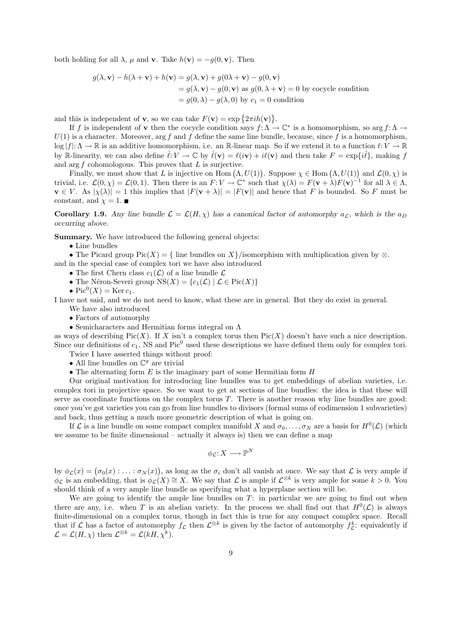both holding for all  $\lambda$ ,  $\mu$  and **v**. Take  $h(\mathbf{v}) = -q(0, \mathbf{v})$ . Then

$$
g(\lambda, \mathbf{v}) - h(\lambda + \mathbf{v}) + h(\mathbf{v}) = g(\lambda, \mathbf{v}) + g(0\lambda + \mathbf{v}) - g(0, \mathbf{v})
$$
  
=  $g(\lambda, \mathbf{v}) - g(0, \mathbf{v})$  as  $g(0, \lambda + \mathbf{v}) = 0$  by cocycle condition  
=  $g(0, \lambda) - g(\lambda, 0)$  by  $c_1 = 0$  condition

and this is independent of **v**, so we can take  $F(\mathbf{v}) = \exp\{2\pi i h(\mathbf{v})\}.$ 

If f is independent of **v** then the cocycle condition says  $f: \Lambda \to \mathbb{C}^*$  is a homomorphism, so  $\arg f: \Lambda \to$  $U(1)$  is a character. Moreover, arg f and f define the same line bundle, because, since f is a homomorphism,  $\log |f|: \Lambda \to \mathbb{R}$  is an additive homomorphism, i.e. an R-linear map. So if we extend it to a function  $\ell: V \to \mathbb{R}$ by R-linearity, we can also define  $\hat{\ell}: V \to \mathbb{C}$  by  $\hat{\ell}(\mathbf{v}) = \ell(i\mathbf{v}) + i\ell(\mathbf{v})$  and then take  $F = \exp\{i\hat{\ell}\}\$ , making f and arg  $f$  cohomologous. This proves that  $L$  is surjective.

Finally, we must show that L is injective on Hom  $(\Lambda, U(1))$ . Suppose  $\chi \in$  Hom  $(\Lambda, U(1))$  and  $\mathcal{L}(0, \chi)$  is trivial, i.e.  $\mathcal{L}(0,\chi) = \mathcal{L}(0,1)$ . Then there is an  $F: V \to \mathbb{C}^*$  such that  $\chi(\lambda) = F(\mathbf{v} + \lambda)F(\mathbf{v})^{-1}$  for all  $\lambda \in \Lambda$ ,  $\mathbf{v} \in V$ . As  $|\chi(\lambda)| = 1$  this implies that  $|F(\mathbf{v} + \lambda)| = |F(\mathbf{v})|$  and hence that F is bounded. So F must be constant, and  $\chi = 1$ .

**Corollary 1.9.** Any line bundle  $\mathcal{L} = \mathcal{L}(H, \chi)$  has a canonical factor of automorphy  $a_{\mathcal{L}}$ , which is the  $a_D$ occurring above.

Summary. We have introduced the following general objects:

• Line bundles

• The Picard group Pic(X) = { line bundles on X}/isomorphism with multiplication given by ⊗.

- and in the special case of complex tori we have also introduced
	- The first Chern class  $c_1(\mathcal{L})$  of a line bundle  $\mathcal L$
	- The Néron-Severi group  $NS(X) = \{c_1(\mathcal{L}) \mid \mathcal{L} \in Pic(X)\}\$
	- $Pic^0(X) = \text{Ker } c_1$ .

I have not said, and we do not need to know, what these are in general. But they do exist in general. We have also introduced

• Factors of automorphy

• Semicharacters and Hermitian forms integral on Λ

as ways of describing  $Pic(X)$ . If X isn't a complex torus then  $Pic(X)$  doesn't have such a nice description. Since our definitions of  $c_1$ , NS and Pic<sup>0</sup> used these descriptions we have defined them only for complex tori. Twice I have asserted things without proof:

- $\bullet$  All line bundles on  $\mathbb{C}^g$  are trivial
- The alternating form  $E$  is the imaginary part of some Hermitian form  $H$

Our original motivation for introducing line bundles was to get embeddings of abelian varieties, i.e. complex tori in projective space. So we want to get at sections of line bundles: the idea is that these will serve as coordinate functions on the complex torus  $T$ . There is another reason why line bundles are good: once you've got varieties you can go from line bundles to divisors (formal sums of codimension 1 subvarieties) and back, thus getting a much more geometric description of what is going on.

If  $\mathcal L$  is a line bundle on some compact complex manifold X and  $\sigma_0, \ldots, \sigma_N$  are a basis for  $H^0(\mathcal L)$  (which we assume to be finite dimensional – actually it always is) then we can define a map

$$
\phi_{\mathcal{L}}\colon X\longrightarrow \mathbb{P}^N
$$

by  $\phi_{\mathcal{L}}(x) = (\sigma_0(x) : \ldots : \sigma_N(x))$ , as long as the  $\sigma_i$  don't all vanish at once. We say that  $\mathcal L$  is very ample if  $\phi_{\mathcal{L}}$  is an embedding, that is  $\phi_{\mathcal{L}}(X) \cong X$ . We say that  $\mathcal{L}$  is ample if  $\mathcal{L}^{\otimes k}$  is very ample for some  $k > 0$ . You should think of a very ample line bundle as specifying what a hyperplane section will be.

We are going to identify the ample line bundles on  $T$ : in particular we are going to find out when there are any, i.e. when T is an abelian variety. In the process we shall find out that  $H^0(\mathcal{L})$  is always finite-dimensional on a complex torus, though in fact this is true for any compact complex space. Recall that if  $\mathcal L$  has a factor of automorphy  $f_{\mathcal L}$  then  $\mathcal L^{\otimes k}$  is given by the factor of automorphy  $f_{\mathcal L}^k$ : equivalently if  $\mathcal{L} = \mathcal{L}(H, \chi)$  then  $\mathcal{L}^{\otimes k} = \mathcal{L}(kH, \chi^k)$ .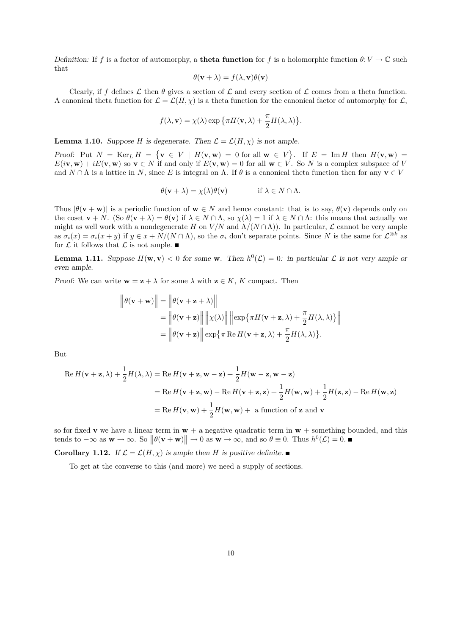Definition: If f is a factor of automorphy, a **theta function** for f is a holomorphic function  $\theta: V \to \mathbb{C}$  such that

$$
\theta(\mathbf{v} + \lambda) = f(\lambda, \mathbf{v})\theta(\mathbf{v})
$$

Clearly, if f defines  $\mathcal L$  then  $\theta$  gives a section of  $\mathcal L$  and every section of  $\mathcal L$  comes from a theta function. A canonical theta function for  $\mathcal{L} = \mathcal{L}(H, \chi)$  is a theta function for the canonical factor of automorphy for  $\mathcal{L}$ ,

$$
f(\lambda, \mathbf{v}) = \chi(\lambda) \exp \{ \pi H(\mathbf{v}, \lambda) + \frac{\pi}{2} H(\lambda, \lambda) \}.
$$

**Lemma 1.10.** Suppose H is degenerate. Then  $\mathcal{L} = \mathcal{L}(H, \chi)$  is not ample.

Proof: Put  $N = \text{Ker}_L H = \{ \mathbf{v} \in V \mid H(\mathbf{v}, \mathbf{w}) = 0 \text{ for all } \mathbf{w} \in V \}.$  If  $E = \text{Im } H$  then  $H(\mathbf{v}, \mathbf{w}) =$  $E(i\mathbf{v}, \mathbf{w}) + iE(\mathbf{v}, \mathbf{w})$  so  $\mathbf{v} \in N$  if and only if  $E(\mathbf{v}, \mathbf{w}) = 0$  for all  $\mathbf{w} \in V$ . So N is a complex subspace of V and  $N \cap \Lambda$  is a lattice in N, since E is integral on  $\Lambda$ . If  $\theta$  is a canonical theta function then for any  $\mathbf{v} \in V$ 

$$
\theta(\mathbf{v} + \lambda) = \chi(\lambda)\theta(\mathbf{v}) \quad \text{if } \lambda \in N \cap \Lambda.
$$

Thus  $|\theta(\mathbf{v} + \mathbf{w})|$  is a periodic function of  $\mathbf{w} \in N$  and hence constant: that is to say,  $\theta(\mathbf{v})$  depends only on the coset  $\mathbf{v} + N$ . (So  $\theta(\mathbf{v} + \lambda) = \theta(\mathbf{v})$  if  $\lambda \in N \cap \Lambda$ , so  $\chi(\lambda) = 1$  if  $\lambda \in N \cap \Lambda$ : this means that actually we might as well work with a nondegenerate H on  $V/N$  and  $\Lambda/(N \cap \Lambda)$ ). In particular, L cannot be very ample as  $\sigma_i(x) = \sigma_i(x + y)$  if  $y \in x + N/(N \cap \Lambda)$ , so the  $\sigma_i$  don't separate points. Since N is the same for  $\mathcal{L}^{\otimes k}$  as for  $\mathcal L$  it follows that  $\mathcal L$  is not ample.

**Lemma 1.11.** Suppose  $H(\mathbf{w}, \mathbf{v}) < 0$  for some w. Then  $h^0(\mathcal{L}) = 0$ : in particular  $\mathcal{L}$  is not very ample or even ample.

Proof: We can write  $\mathbf{w} = \mathbf{z} + \lambda$  for some  $\lambda$  with  $\mathbf{z} \in K$ , K compact. Then

 $\ddotsc$ 

$$
\|\theta(\mathbf{v} + \mathbf{w})\| = \|\theta(\mathbf{v} + \mathbf{z} + \lambda)\|
$$
  
=  $\|\theta(\mathbf{v} + \mathbf{z})\| \|\chi(\lambda)\| \|\exp{\{\pi H(\mathbf{v} + \mathbf{z}, \lambda) + \frac{\pi}{2}H(\lambda, \lambda)\}}\|$   
=  $\|\theta(\mathbf{v} + \mathbf{z})\| \exp{\{\pi \operatorname{Re} H(\mathbf{v} + \mathbf{z}, \lambda) + \frac{\pi}{2}H(\lambda, \lambda)\}}.$ 

But

$$
\operatorname{Re} H(\mathbf{v} + \mathbf{z}, \lambda) + \frac{1}{2} H(\lambda, \lambda) = \operatorname{Re} H(\mathbf{v} + \mathbf{z}, \mathbf{w} - \mathbf{z}) + \frac{1}{2} H(\mathbf{w} - \mathbf{z}, \mathbf{w} - \mathbf{z})
$$
  
= Re  $H(\mathbf{v} + \mathbf{z}, \mathbf{w}) - \operatorname{Re} H(\mathbf{v} + \mathbf{z}, \mathbf{z}) + \frac{1}{2} H(\mathbf{w}, \mathbf{w}) + \frac{1}{2} H(\mathbf{z}, \mathbf{z}) - \operatorname{Re} H(\mathbf{w}, \mathbf{z})$   
= Re  $H(\mathbf{v}, \mathbf{w}) + \frac{1}{2} H(\mathbf{w}, \mathbf{w}) + \mathbf{a}$  function of **z** and **v**

so for fixed v we have a linear term in  $w + a$  negative quadratic term in  $w +$  something bounded, and this tends to  $-\infty$  as  $\mathbf{w} \to \infty$ . So  $\|\theta(\mathbf{v} + \mathbf{w})\| \to 0$  as  $\mathbf{w} \to \infty$ , and so  $\theta \equiv 0$ . Thus  $h^0(\mathcal{L}) = 0$ .

**Corollary 1.12.** If  $\mathcal{L} = \mathcal{L}(H, \chi)$  is ample then H is positive definite.

To get at the converse to this (and more) we need a supply of sections.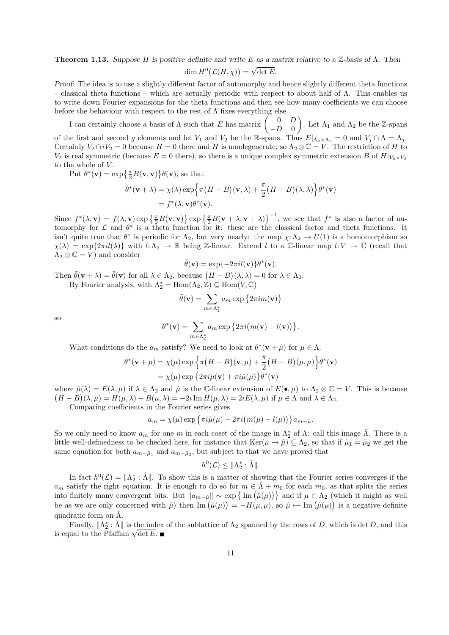**Theorem 1.13.** Suppose H is positive definite and write E as a matrix relative to a Z-basis of  $\Lambda$ . Then  $\dim H^0(\mathcal{L}(H,\chi)) =$ √ det E.

Proof: The idea is to use a slightly different factor of automorphy and hence slightly different theta functions – classical theta functions – which are actually periodic with respect to about half of Λ. This enables us to write down Fourier expansions for the theta functions and then see how many coefficients we can choose before the behaviour with respect to the rest of  $\Lambda$  fixes everything else.

I can certainly choose a basis of  $\Lambda$  such that E has matrix  $\begin{pmatrix} 0 & D \\ D & 0 \end{pmatrix}$  $-D$  0 ). Let  $\Lambda_1$  and  $\Lambda_2$  be the Z-spans of the first and second g elements and let  $V_1$  and  $V_2$  be the R-spans. Thus  $E|_{\Lambda_2\times\Lambda_2}=0$  and  $V_j\cap\Lambda=\Lambda_j$ . Certainly  $V_2 \cap iV_2 = 0$  because  $H = 0$  there and H is nondegenerate, so  $\Lambda_2 \otimes \mathbb{C} = V$ . The restriction of H to  $V_2$  is real symmetric (because  $E = 0$  there), so there is a unique complex symmetric extension B of  $H|_{V_2 \times V_2}$ to the whole of  $V$ .

Put  $\theta^*(\mathbf{v}) = \exp\left\{\frac{\pi}{2}B(\mathbf{v}, \mathbf{v})\right\}\theta(\mathbf{v})$ , so that

$$
\theta^*(\mathbf{v} + \lambda) = \chi(\lambda) \exp\left\{\pi \big(H - B\big)(\mathbf{v}, \lambda) + \frac{\pi}{2} \big(H - B\big)(\lambda, \lambda)\right\} \theta^*(\mathbf{v})
$$
  
=  $f^*(\lambda, \mathbf{v}) \theta^*(\mathbf{v}).$ 

Since  $f^*(\lambda, \mathbf{v}) = f(\lambda, \mathbf{v}) \exp\left\{\frac{\pi}{2}B(\mathbf{v}, \mathbf{v})\right\} \exp\left\{\frac{\pi}{2}B(\mathbf{v} + \lambda, \mathbf{v} + \lambda)\right\}^{-1}$ , we see that  $f^*$  is also a factor of automorphy for  $\mathcal L$  and  $\theta^*$  is a theta function for it: these are the classical factor and theta functions. It isn't quite true that  $\theta^*$  is periodic for  $\Lambda_2$ , but very nearly: the map  $\chi: \Lambda_2 \to U(1)$  is a homomorphism so  $\chi(\lambda) = \exp\{2\pi i l(\lambda)\}\$  with  $l:\Lambda_2 \to \mathbb{R}$  being Z-linear. Extend l to a C-linear map  $l: V \to \mathbb{C}$  (recall that  $\Lambda_2 \otimes \mathbb{C} = V$  and consider

$$
\bar{\theta}(\mathbf{v}) = \exp\{-2\pi i l(\mathbf{v})\}\theta^*(\mathbf{v}).
$$

Then  $\bar{\theta}(\mathbf{v} + \lambda) = \bar{\theta}(\mathbf{v})$  for all  $\lambda \in \Lambda_2$ , because  $(H - B)(\lambda, \lambda) = 0$  for  $\lambda \in \Lambda_2$ . By Fourier analysis, with  $\Lambda_2^* = \text{Hom}(\Lambda_2, \mathbb{Z}) \subseteq \text{Hom}(V, \mathbb{C})$ 

$$
\bar{\theta}(\mathbf{v}) = \sum_{m \in \Lambda_2^*} a_m \exp\left\{2\pi i m(\mathbf{v})\right\}
$$

so

$$
\theta^*(\mathbf{v}) = \sum_{m \in \Lambda_2^*} a_m \exp \left\{ 2\pi i \big( m(\mathbf{v}) + l(\mathbf{v}) \big) \right\}.
$$

What conditions do the  $a_m$  satisfy? We need to look at  $\theta^*(\mathbf{v} + \mu)$  for  $\mu \in \Lambda$ .

$$
\theta^*(\mathbf{v} + \mu) = \chi(\mu) \exp \left\{ \pi (H - B)(\mathbf{v}, \mu) + \frac{\pi}{2} (H - B)(\mu, \mu) \right\} \theta^*(\mathbf{v})
$$
  
=  $\chi(\mu) \exp \left\{ 2\pi i \hat{\mu}(\mathbf{v}) + \pi i \hat{\mu}(\mu) \right\} \theta^*(\mathbf{v})$ 

where  $\hat{\mu}(\lambda) = E(\lambda, \mu)$  if  $\lambda \in \Lambda_2$  and  $\hat{\mu}$  is the C-linear extension of  $E(\bullet, \mu)$  to  $\Lambda_2 \otimes \mathbb{C} = V$ . This is because  $(H-B)(\lambda,\mu)=\overline{H(\mu,\lambda)}-B(\mu,\lambda)=-2i\operatorname{Im}H(\mu,\lambda)=2iE(\lambda,\mu)$  if  $\mu\in\Lambda$  and  $\lambda\in\Lambda_2$ .

Comparing coefficients in the Fourier series gives

$$
a_m = \chi(\mu) \exp \left\{ \pi i \hat{\mu}(\mu) - 2\pi i \big( m(\mu) - l(\mu) \big) \right\} a_{m-\hat{\mu}}.
$$

So we only need to know  $a_m$  for one m in each coset of the image in  $\Lambda_2^*$  of  $\Lambda$ : call this image  $\hat{\Lambda}$ . There is a little well-definedness to be checked here, for instance that  $\text{Ker}(\mu \mapsto \hat{\mu}) \subseteq \Lambda_2$ , so that if  $\hat{\mu}_1 = \hat{\mu}_2$  we get the same equation for both  $a_{m-\hat{\mu}_1}$  and  $a_{m-\hat{\mu}_2}$ , but subject to that we have proved that

$$
h^0(\mathcal{L}) \leq \|\Lambda_2^* : \hat{\Lambda}\|.
$$

In fact  $h^0(\mathcal{L}) = \|\Lambda_2^*: \hat{\Lambda}\|$ . To show this is a matter of showing that the Fourier series converges if the  $a_m$  satisfy the right equation. It is enough to do so for  $m \in \Lambda + m_0$  for each  $m_0$ , as that splits the series into finitely many convergent bits. But  $||a_{m-\hat{\mu}}|| \sim \exp \{Im(\hat{\mu}(\mu))\}$  and if  $\mu \in \Lambda_2$  (which it might as well be as we are only concerned with  $\hat{\mu}$ ) then Im  $(\hat{\mu}(\mu)) = -H(\mu, \mu)$ , so  $\hat{\mu} \mapsto \text{Im}(\hat{\mu}(\mu))$  is a negative definite quadratic form on  $\hat{\Lambda}$ .

Finally,  $\|\Lambda_2^* : \hat{\Lambda}\|$  is the index of the sublattice of  $\Lambda_2$  spanned by the rows of D, which is det D, and this Finally,  $\|\Lambda_2 : \Lambda\|$  is the independent is equal to the Pfaffian  $\sqrt{\det E}$ .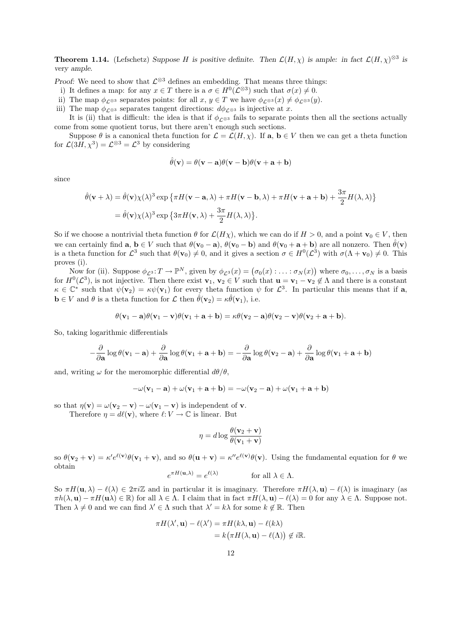**Theorem 1.14.** (Lefschetz) Suppose H is positive definite. Then  $\mathcal{L}(H,\chi)$  is ample: in fact  $\mathcal{L}(H,\chi)^{\otimes 3}$  is very ample.

Proof: We need to show that  $\mathcal{L}^{\otimes 3}$  defines an embedding. That means three things:

- i) It defines a map: for any  $x \in T$  there is a  $\sigma \in H^0(\mathcal{L}^{\otimes 3})$  such that  $\sigma(x) \neq 0$ .
- ii) The map  $\phi_{\mathcal{L}^{\otimes 3}}$  separates points: for all  $x, y \in T$  we have  $\phi_{\mathcal{L}^{\otimes 3}}(x) \neq \phi_{\mathcal{L}^{\otimes 3}}(y)$ .
- iii) The map  $\phi_{\mathcal{L}^{\otimes 3}}$  separates tangent directions:  $d\phi_{\mathcal{L}^{\otimes 3}}$  is injective at x.

It is (ii) that is difficult: the idea is that if  $\phi_{\mathcal{L}^{\otimes 3}}$  fails to separate points then all the sections actually come from some quotient torus, but there aren't enough such sections.

Suppose  $\theta$  is a canonical theta function for  $\mathcal{L} = \mathcal{L}(H, \chi)$ . If  $\mathbf{a}, \mathbf{b} \in V$  then we can get a theta function for  $\mathcal{L}(3H, \chi^3) = \mathcal{L}^{\otimes 3} = \mathcal{L}^3$  by considering

$$
\hat{\theta}(\mathbf{v}) = \theta(\mathbf{v} - \mathbf{a})\theta(\mathbf{v} - \mathbf{b})\theta(\mathbf{v} + \mathbf{a} + \mathbf{b})
$$

since

$$
\hat{\theta}(\mathbf{v} + \lambda) = \hat{\theta}(\mathbf{v})\chi(\lambda)^3 \exp \{ \pi H(\mathbf{v} - \mathbf{a}, \lambda) + \pi H(\mathbf{v} - \mathbf{b}, \lambda) + \pi H(\mathbf{v} + \mathbf{a} + \mathbf{b}) + \frac{3\pi}{2} H(\lambda, \lambda) \}
$$
  
=  $\hat{\theta}(\mathbf{v})\chi(\lambda)^3 \exp \{ 3\pi H(\mathbf{v}, \lambda) + \frac{3\pi}{2} H(\lambda, \lambda) \}.$ 

So if we choose a nontrivial theta function  $\theta$  for  $\mathcal{L}(H\chi)$ , which we can do if  $H > 0$ , and a point  $\mathbf{v}_0 \in V$ , then we can certainly find  $\mathbf{a}, \mathbf{b} \in V$  such that  $\theta(\mathbf{v}_0 - \mathbf{a}), \theta(\mathbf{v}_0 - \mathbf{b})$  and  $\theta(\mathbf{v}_0 + \mathbf{a} + \mathbf{b})$  are all nonzero. Then  $\hat{\theta}(\mathbf{v})$ is a theta function for  $\mathcal{L}^3$  such that  $\theta(\mathbf{v}_0) \neq 0$ , and it gives a section  $\sigma \in H^0(\mathcal{L}^3)$  with  $\sigma(\Lambda + \mathbf{v}_0) \neq 0$ . This proves (i).

Now for (ii). Suppose  $\phi_{\mathcal{L}^3}: T \to \mathbb{P}^N$ , given by  $\phi_{\mathcal{L}^3}(x) = (\sigma_0(x) : \ldots : \sigma_N(x))$  where  $\sigma_0, \ldots, \sigma_N$  is a basis for  $H^0(\mathcal{L}^3)$ , is not injective. Then there exist  $\mathbf{v}_1, \mathbf{v}_2 \in V$  such that  $\mathbf{u} = \mathbf{v}_1 - \mathbf{v}_2 \notin \Lambda$  and there is a constant  $\kappa \in \mathbb{C}^*$  such that  $\psi(\mathbf{v}_2) = \kappa \psi(\mathbf{v}_1)$  for every theta function  $\psi$  for  $\mathcal{L}^3$ . In particular this means that if a,  $\mathbf{b} \in V$  and  $\theta$  is a theta function for  $\mathcal{L}$  then  $\hat{\theta}(\mathbf{v}_2) = \kappa \hat{\theta}(\mathbf{v}_1)$ , i.e.

$$
\theta(\mathbf{v}_1-\mathbf{a})\theta(\mathbf{v}_1-\mathbf{v})\theta(\mathbf{v}_1+\mathbf{a}+\mathbf{b})=\kappa\theta(\mathbf{v}_2-\mathbf{a})\theta(\mathbf{v}_2-\mathbf{v})\theta(\mathbf{v}_2+\mathbf{a}+\mathbf{b}).
$$

So, taking logarithmic differentials

$$
-\frac{\partial}{\partial\mathbf{a}}\log\theta(\mathbf{v}_1-\mathbf{a})+\frac{\partial}{\partial\mathbf{a}}\log\theta(\mathbf{v}_1+\mathbf{a}+\mathbf{b})=-\frac{\partial}{\partial\mathbf{a}}\log\theta(\mathbf{v}_2-\mathbf{a})+\frac{\partial}{\partial\mathbf{a}}\log\theta(\mathbf{v}_1+\mathbf{a}+\mathbf{b})
$$

and, writing  $\omega$  for the meromorphic differential  $d\theta/\theta$ ,

$$
-\omega(\mathbf{v}_1 - \mathbf{a}) + \omega(\mathbf{v}_1 + \mathbf{a} + \mathbf{b}) = -\omega(\mathbf{v}_2 - \mathbf{a}) + \omega(\mathbf{v}_1 + \mathbf{a} + \mathbf{b})
$$

so that  $\eta(\mathbf{v}) = \omega(\mathbf{v}_2 - \mathbf{v}) - \omega(\mathbf{v}_1 - \mathbf{v})$  is independent of **v**.

Therefore  $\eta = d\ell(\mathbf{v})$ , where  $\ell: V \to \mathbb{C}$  is linear. But

$$
\eta = d \log \frac{\theta(\mathbf{v}_2 + \mathbf{v})}{\theta(\mathbf{v}_1 + \mathbf{v})}
$$

so  $\theta(\mathbf{v}_2 + \mathbf{v}) = \kappa' e^{\ell(\mathbf{v})} \theta(\mathbf{v}_1 + \mathbf{v})$ , and so  $\theta(\mathbf{u} + \mathbf{v}) = \kappa'' e^{\ell(\mathbf{v})} \theta(\mathbf{v})$ . Using the fundamental equation for  $\theta$  we obtain

$$
e^{\pi H(\mathbf{u},\lambda)} = e^{\ell(\lambda)} \qquad \text{for all } \lambda \in \Lambda.
$$

So  $\pi H(u, \lambda) - \ell(\lambda) \in 2\pi i \mathbb{Z}$  and in particular it is imaginary. Therefore  $\pi H(\lambda, u) - \ell(\lambda)$  is imaginary (as  $\pi h(\lambda, \mathbf{u}) - \pi H(\mathbf{u}\lambda) \in \mathbb{R}$  for all  $\lambda \in \Lambda$ . I claim that in fact  $\pi H(\lambda, \mathbf{u}) - \ell(\lambda) = 0$  for any  $\lambda \in \Lambda$ . Suppose not. Then  $\lambda \neq 0$  and we can find  $\lambda' \in \Lambda$  such that  $\lambda' = k\lambda$  for some  $k \notin \mathbb{R}$ . Then

$$
\pi H(\lambda', \mathbf{u}) - \ell(\lambda') = \pi H(k\lambda, \mathbf{u}) - \ell(k\lambda)
$$
  
=  $k(\pi H(\lambda, \mathbf{u}) - \ell(\Lambda)) \notin i\mathbb{R}$ .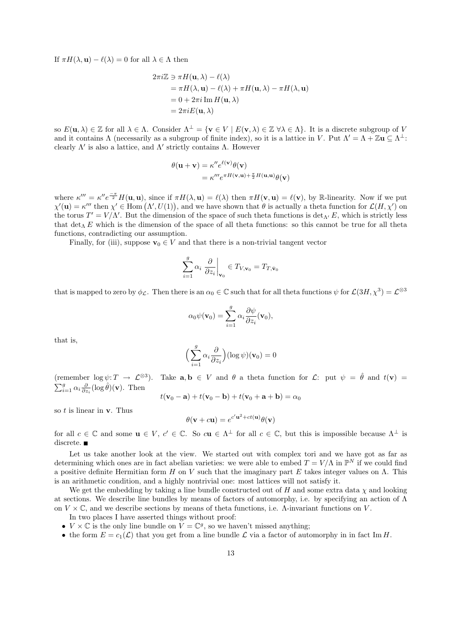If  $\pi H(\lambda, \mathbf{u}) - \ell(\lambda) = 0$  for all  $\lambda \in \Lambda$  then

$$
2\pi i \mathbb{Z} \ni \pi H(\mathbf{u}, \lambda) - \ell(\lambda)
$$
  
=  $\pi H(\lambda, \mathbf{u}) - \ell(\lambda) + \pi H(\mathbf{u}, \lambda) - \pi H(\lambda, \mathbf{u})$   
=  $0 + 2\pi i \operatorname{Im} H(\mathbf{u}, \lambda)$   
=  $2\pi i E(\mathbf{u}, \lambda)$ 

so  $E(\mathbf{u}, \lambda) \in \mathbb{Z}$  for all  $\lambda \in \Lambda$ . Consider  $\Lambda^{\perp} = {\mathbf{v} \in V \mid E(\mathbf{v}, \lambda) \in \mathbb{Z} \forall \lambda \in \Lambda}$ . It is a discrete subgroup of V and it contains  $\Lambda$  (necessarily as a subgroup of finite index), so it is a lattice in V. Put  $\Lambda' = \Lambda + \mathbb{Z} \mathbf{u} \subseteq \Lambda^{\perp}$ : clearly  $\Lambda'$  is also a lattice, and  $\Lambda'$  strictly contains  $\Lambda$ . However

$$
\theta(\mathbf{u} + \mathbf{v}) = \kappa'' e^{\ell(\mathbf{v})} \theta(\mathbf{v})
$$
  
=  $\kappa''' e^{\pi H(\mathbf{v}, \mathbf{u}) + \frac{\pi}{2} H(\mathbf{u}, \mathbf{u})} \theta(\mathbf{v})$ 

where  $\kappa''' = \kappa'' e^{-\frac{\pi}{2}} H(\mathbf{u}, \mathbf{u})$ , since if  $\pi H(\lambda, \mathbf{u}) = \ell(\lambda)$  then  $\pi H(\mathbf{v}, \mathbf{u}) = \ell(\mathbf{v})$ , by R-linearity. Now if we put  $\chi'(\mathbf{u}) = \kappa'''$  then  $\chi' \in \text{Hom}(\Lambda', U(1))$ , and we have shown that  $\theta$  is actually a theta function for  $\mathcal{L}(H, \chi')$  on the torus  $T' = V/\Lambda'$ . But the dimension of the space of such theta functions is  $\det_{\Lambda'} E$ , which is strictly less that  $\det_{\Lambda} E$  which is the dimension of the space of all theta functions: so this cannot be true for all theta functions, contradicting our assumption.

Finally, for (iii), suppose  $\mathbf{v}_0 \in V$  and that there is a non-trivial tangent vector

$$
\sum_{i=1}^{g} \alpha_i \left. \frac{\partial}{\partial z_i} \right|_{\mathbf{v}_0} \in T_{V,\mathbf{v}_0} = T_{T,\bar{\mathbf{v}}_0}
$$

that is mapped to zero by  $\phi_{\mathcal{L}}$ . Then there is an  $\alpha_0 \in \mathbb{C}$  such that for all theta functions  $\psi$  for  $\mathcal{L}(3H, \chi^3) = \mathcal{L}^{\otimes 3}$ 

$$
\alpha_0 \psi(\mathbf{v}_0) = \sum_{i=1}^g \alpha_i \frac{\partial \psi}{\partial z_i}(\mathbf{v}_0),
$$

that is,

$$
\Big(\sum_{i=1}^g \alpha_i \frac{\partial}{\partial z_i}\Big) (\log \psi) (\mathbf{v}_0) = 0
$$

(remember  $\log \psi : T \to \mathcal{L}^{\otimes 3}$ ). Take  $\mathbf{a}, \mathbf{b} \in V$  and  $\theta$  a theta function for  $\mathcal{L}$ : put  $\psi = \hat{\theta}$  and  $t(\mathbf{v}) =$  $\sum_{i=1}^{g} \alpha_i \frac{\partial}{\partial z_i} (\log \hat{\theta})(\mathbf{v})$ . Then

$$
t(\mathbf{v}_0 - \mathbf{a}) + t(\mathbf{v}_0 - \mathbf{b}) + t(\mathbf{v}_0 + \mathbf{a} + \mathbf{b}) = \alpha_0
$$

so  $t$  is linear in  $v$ . Thus

$$
\theta(\mathbf{v} + c\mathbf{u}) = e^{c'\mathbf{u}^2 + ct(\mathbf{u})}\theta(\mathbf{v})
$$

for all  $c \in \mathbb{C}$  and some  $\mathbf{u} \in V$ ,  $c' \in \mathbb{C}$ . So  $c\mathbf{u} \in \Lambda^{\perp}$  for all  $c \in \mathbb{C}$ , but this is impossible because  $\Lambda^{\perp}$  is discrete.

Let us take another look at the view. We started out with complex tori and we have got as far as determining which ones are in fact abelian varieties: we were able to embed  $T = V/\Lambda$  in  $\mathbb{P}^N$  if we could find a positive definite Hermitian form H on V such that the imaginary part E takes integer values on  $\Lambda$ . This is an arithmetic condition, and a highly nontrivial one: most lattices will not satisfy it.

We get the embedding by taking a line bundle constructed out of H and some extra data  $\chi$  and looking at sections. We describe line bundles by means of factors of automorphy, i.e. by specifying an action of  $\Lambda$ on  $V \times \mathbb{C}$ , and we describe sections by means of theta functions, i.e.  $\Lambda$ -invariant functions on V.

In two places I have asserted things without proof:

- $V \times \mathbb{C}$  is the only line bundle on  $V = \mathbb{C}^g$ , so we haven't missed anything;
- the form  $E = c_1(\mathcal{L})$  that you get from a line bundle  $\mathcal L$  via a factor of automorphy in in fact Im H.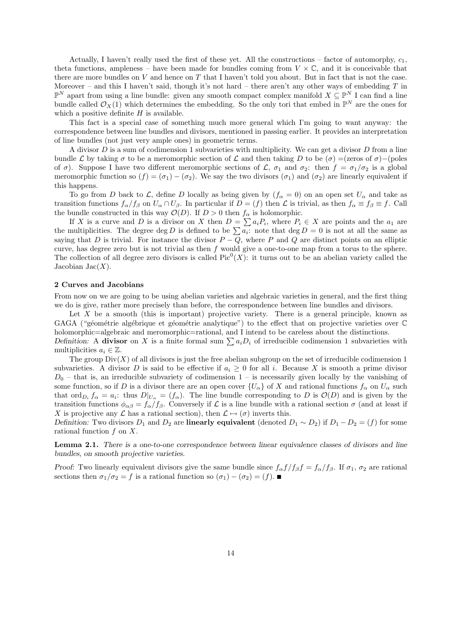Actually, I haven't really used the first of these yet. All the constructions – factor of automorphy,  $c_1$ , theta functions, ampleness – have been made for bundles coming from  $V \times \mathbb{C}$ , and it is conceivable that there are more bundles on  $V$  and hence on  $T$  that I haven't told you about. But in fact that is not the case. Moreover – and this I haven't said, though it's not hard – there aren't any other ways of embedding  $T$  in  $\mathbb{P}^N$  apart from using a line bundle: given any smooth compact complex manifold  $X \subseteq \mathbb{P}^N$  I can find a line bundle called  $\mathcal{O}_X(1)$  which determines the embedding. So the only tori that embed in  $\mathbb{P}^N$  are the ones for which a positive definite  $H$  is available.

This fact is a special case of something much more general which I'm going to want anyway: the correspondence between line bundles and divisors, mentioned in passing earlier. It provides an interpretation of line bundles (not just very ample ones) in geometric terms.

A divisor D is a sum of codimension 1 subvarieties with multiplicity. We can get a divisor D from a line bundle L by taking  $\sigma$  to be a meromorphic section of L and then taking D to be  $(\sigma)$  =(zeros of  $\sigma$ )−(poles of  $\sigma$ ). Suppose I have two different meromorphic sections of  $\mathcal{L}$ ,  $\sigma_1$  and  $\sigma_2$ : then  $f = \sigma_1/\sigma_2$  is a global meromorphic function so  $(f) = (\sigma_1) - (\sigma_2)$ . We say the two divisors  $(\sigma_1)$  and  $(\sigma_2)$  are linearly equivalent if this happens.

To go from D back to L, define D locally as being given by  $(f_{\alpha} = 0)$  on an open set  $U_{\alpha}$  and take as transition functions  $f_{\alpha}/f_{\beta}$  on  $U_{\alpha} \cap U_{\beta}$ . In particular if  $D = (f)$  then  $\mathcal L$  is trivial, as then  $f_{\alpha} \equiv f_{\beta} \equiv f$ . Call the bundle constructed in this way  $\mathcal{O}(D)$ . If  $D > 0$  then  $f_{\alpha}$  is holomorphic.

If X is a curve and D is a divisor on X then  $D = \sum a_i P_i$ , where  $P_i \in X$  are points and the  $a_1$  are the multiplicities. The degree deg D is defined to be  $\sum a_i$ : note that deg  $D = 0$  is not at all the same as saying that D is trivial. For instance the divisor  $P - \overline{Q}$ , where P and Q are distinct points on an elliptic curve, has degree zero but is not trivial as then  $f$  would give a one-to-one map from a torus to the sphere. The collection of all degree zero divisors is called  $Pic^0(X)$ : it turns out to be an abelian variety called the Jacobian Jac $(X)$ .

### 2 Curves and Jacobians

From now on we are going to be using abelian varieties and algebraic varieties in general, and the first thing we do is give, rather more precisely than before, the correspondence between line bundles and divisors.

Let  $X$  be a smooth (this is important) projective variety. There is a general principle, known as GAGA ("géométrie algébrique et géométrie analytique") to the effect that on projective varieties over  $\mathbb C$ holomorphic=algebraic and meromorphic=rational, and I intend to be careless about the distinctions. Definition: A divisor on X is a finite formal sum  $\sum a_iD_i$  of irreducible codimension 1 subvarieties with multiplicities  $a_i \in \mathbb{Z}$ .

The group  $Div(X)$  of all divisors is just the free abelian subgroup on the set of irreducible codimension 1 subvarieties. A divisor D is said to be effective if  $a_i \geq 0$  for all i. Because X is smooth a prime divisor  $D_0$  – that is, an irreducible subvariety of codimension 1 – is necessarily given locally by the vanishing of some function, so if D is a divisor there are an open cover  $\{U_\alpha\}$  of X and rational functions  $f_\alpha$  on  $U_\alpha$  such that ord<sub>D<sub>i</sub></sub>  $f_{\alpha} = a_i$ : thus  $D|_{U_{\alpha}} = (f_{\alpha})$ . The line bundle corresponding to D is  $\mathcal{O}(D)$  and is given by the transition functions  $\phi_{\alpha\beta} = f_{\alpha}/f_{\beta}$ . Conversely if  $\mathcal L$  is a line bundle with a rational section  $\sigma$  (and at least if X is projective any L has a rational section), then  $\mathcal{L} \mapsto (\sigma)$  inverts this.

Definition: Two divisors  $D_1$  and  $D_2$  are **linearly equivalent** (denoted  $D_1 \sim D_2$ ) if  $D_1 - D_2 = (f)$  for some rational function  $f$  on  $X$ .

Lemma 2.1. There is a one-to-one correspondence between linear equivalence classes of divisors and line bundles, on smooth projective varieties.

Proof: Two linearly equivalent divisors give the same bundle since  $f_{\alpha}f/f_{\beta}f = f_{\alpha}/f_{\beta}$ . If  $\sigma_1$ ,  $\sigma_2$  are rational sections then  $\sigma_1/\sigma_2 = f$  is a rational function so  $(\sigma_1) - (\sigma_2) = (f)$ .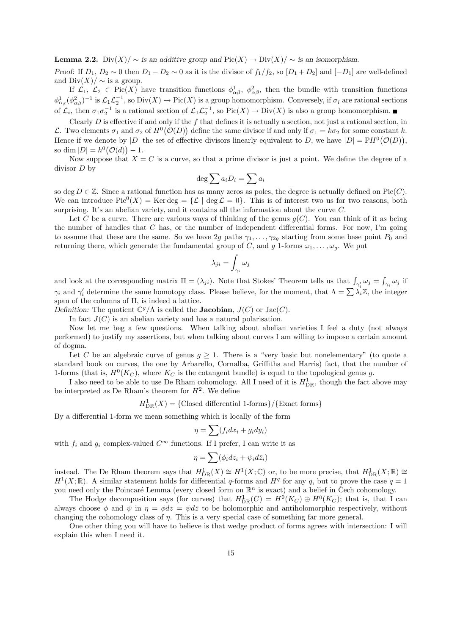**Lemma 2.2.** Div $(X) / \sim$  is an additive group and Pic $(X) \to$  Div $(X) / \sim$  is an isomorphism.

Proof: If  $D_1, D_2 \sim 0$  then  $D_1 - D_2 \sim 0$  as it is the divisor of  $f_1/f_2$ , so  $[D_1 + D_2]$  and  $[-D_1]$  are well-defined and  $\text{Div}(X)/\sim$  is a group.

If  $\mathcal{L}_1, \mathcal{L}_2 \in Pic(X)$  have transition functions  $\phi^1_{\alpha\beta}, \phi^2_{\alpha\beta}$ , then the bundle with transition functions  $\phi_{\alpha_{\beta}}^1(\phi_{\alpha\beta}^2)^{-1}$  is  $\mathcal{L}_1\mathcal{L}_2^{-1}$ , so  $\text{Div}(X) \to \text{Pic}(X)$  is a group homomorphism. Conversely, if  $\sigma_i$  are rational sections of  $\mathcal{L}_i$ , then  $\sigma_1 \sigma_2^{-1}$  is a rational section of  $\mathcal{L}_1 \mathcal{L}_2^{-1}$ , so  $Pic(X) \to Div(X)$  is also a group homomorphism.

Clearly  $D$  is effective if and only if the  $f$  that defines it is actually a section, not just a rational section, in L. Two elements  $\sigma_1$  and  $\sigma_2$  of  $H^0(\mathcal{O}(D))$  define the same divisor if and only if  $\sigma_1 = k\sigma_2$  for some constant k. Hence if we denote by |D| the set of effective divisors linearly equivalent to D, we have  $|D| = \mathbb{P}H^0(\mathcal{O}(D)),$ so dim  $|D| = h^0(\mathcal{O}(d)) - 1.$ 

Now suppose that  $X = C$  is a curve, so that a prime divisor is just a point. We define the degree of a divisor D by

$$
\deg \sum a_i D_i = \sum a_i
$$

so deg  $D \in \mathbb{Z}$ . Since a rational function has as many zeros as poles, the degree is actually defined on Pic(C). We can introduce  $Pic^0(X) = Ker deg = \{ \mathcal{L} \mid deg \mathcal{L} = 0 \}.$  This is of interest two us for two reasons, both surprising. It's an abelian variety, and it contains all the information about the curve  $C$ .

Let C be a curve. There are various ways of thinking of the genus  $g(C)$ . You can think of it as being the number of handles that  $C$  has, or the number of independent differential forms. For now, I'm going to assume that these are the same. So we have 2g paths  $\gamma_1, \ldots, \gamma_{2g}$  starting from some base point  $P_0$  and returning there, which generate the fundamental group of C, and g 1-forms  $\omega_1, \ldots, \omega_g$ . We put

$$
\lambda_{ji} = \int_{\gamma_i} \omega_j
$$

and look at the corresponding matrix  $\Pi = (\lambda_{ji})$ . Note that Stokes' Theorem tells us that  $\int_{\gamma'_i} \omega_j = \int_{\gamma_i} \omega_j$  if  $\gamma_i$  and  $\gamma'_i$  determine the same homotopy class. Please believe, for the moment, that  $\Lambda = \sum \lambda_i \mathbb{Z}$ , the integer span of the columns of Π, is indeed a lattice.

Definition: The quotient  $\mathbb{C}^g/\Lambda$  is called the **Jacobian**,  $J(C)$  or  $Jac(C)$ .

In fact  $J(C)$  is an abelian variety and has a natural polarisation.

Now let me beg a few questions. When talking about abelian varieties I feel a duty (not always performed) to justify my assertions, but when talking about curves I am willing to impose a certain amount of dogma.

Let C be an algebraic curve of genus  $q \geq 1$ . There is a "very basic but nonelementary" (to quote a standard book on curves, the one by Arbarello, Cornalba, Griffiths and Harris) fact, that the number of 1-forms (that is,  $H^0(K_C)$ , where  $K_C$  is the cotangent bundle) is equal to the topological genus g.

I also need to be able to use De Rham cohomology. All I need of it is  $H_{\text{DR}}^1$ , though the fact above may be interpreted as De Rham's theorem for  $H^2$ . We define

 $H_{\text{DR}}^1(X) = \{ \text{Closed differential 1-forms} \}/ \{ \text{Exact forms} \}$ 

By a differential 1-form we mean something which is locally of the form

$$
\eta = \sum (f_i dx_i + g_i dy_i)
$$

with  $f_i$  and  $g_i$  complex-valued  $C^{\infty}$  functions. If I prefer, I can write it as

$$
\eta = \sum (\phi_i dz_i + \psi_i d\bar{z}_i)
$$

instead. The De Rham theorem says that  $H^1_{\text{DR}}(X) \cong H^1(X; \mathbb{C})$  or, to be more precise, that  $H^1_{\text{DR}}(X; \mathbb{R}) \cong$  $H^1(X;\mathbb{R})$ . A similar statement holds for differential q-forms and  $H^q$  for any q, but to prove the case  $q=1$ you need only the Poincaré Lemma (every closed form on  $\mathbb{R}^n$  is exact) and a belief in Cech cohomology.

The Hodge decomposition says (for curves) that  $H_{DR}^1(C) = H^0(K_C) \oplus \overline{H^0(K_C)}$ ; that is, that I can always choose  $\phi$  and  $\psi$  in  $\eta = \phi dz = \psi d\bar{z}$  to be holomorphic and antiholomorphic respectively, without changing the cohomology class of  $\eta$ . This is a very special case of something far more general.

One other thing you will have to believe is that wedge product of forms agrees with intersection: I will explain this when I need it.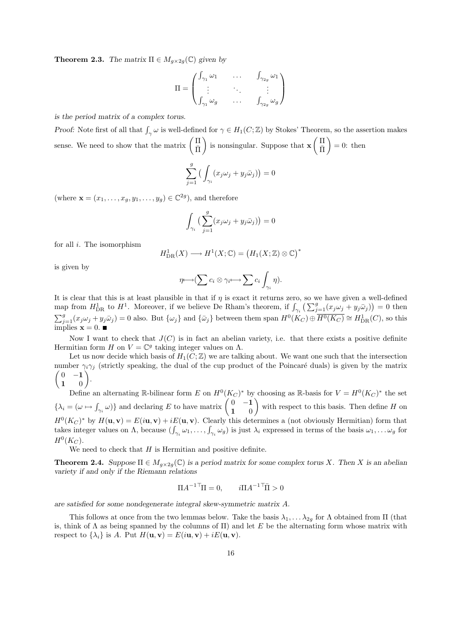**Theorem 2.3.** The matrix  $\Pi \in M_{q \times 2q}(\mathbb{C})$  given by

$$
\Pi = \begin{pmatrix} \int_{\gamma_1} \omega_1 & \cdots & \int_{\gamma_{2g}} \omega_1 \\ \vdots & \ddots & \vdots \\ \int_{\gamma_1} \omega_g & \cdots & \int_{\gamma_{2g}} \omega_g \end{pmatrix}
$$

is the period matrix of a complex torus.

Proof: Note first of all that  $\int_{\gamma} \omega$  is well-defined for  $\gamma \in H_1(C;\mathbb{Z})$  by Stokes' Theorem, so the assertion makes sense. We need to show that the matrix  $\left(\begin{array}{c}\n\prod_{\substack{\longrightarrow\\n\end{array}}\right)$  $\bar{\Pi}$ ) is nonsingular. Suppose that  $\mathbf{x} \left( \frac{\Pi}{\Pi} \right)$  $\bar{\Pi}$  $= 0$ : then

$$
\sum_{j=1}^{g} \left( \int_{\gamma_i} (x_j \omega_j + y_j \bar{\omega}_j) \right) = 0
$$

(where  $\mathbf{x} = (x_1, \dots, x_g, y_1, \dots, y_g) \in \mathbb{C}^{2g}$ ), and therefore

$$
\int_{\gamma_i} \Big( \sum_{j=1}^g (x_j \omega_j + y_j \bar{\omega}_j) \Big) = 0
$$

for all  $i$ . The isomorphism

$$
H_{\text{DR}}^1(X) \longrightarrow H^1(X; \mathbb{C}) = (H_1(X; \mathbb{Z}) \otimes \mathbb{C})^*
$$

is given by

$$
\eta \longmapsto (\sum c_i \otimes \gamma_i \longmapsto \sum c_i \int_{\gamma_i} \eta).
$$

It is clear that this is at least plausible in that if  $\eta$  is exact it returns zero, so we have given a well-defined map from  $H_{\text{DR}}^1$  to  $H^1$ . Moreover, if we believe De Rham's theorem, if  $\int_{\gamma_i} \left( \sum_{j=1}^g (x_j \omega_j + y_j \bar{\omega}_j) \right) = 0$  then  $\sum_{j=1}^{g}(x_j\omega_j+y_j\bar{\omega}_j)=0$  also. But  $\{\omega_j\}$  and  $\{\bar{\omega}_j\}$  between them span  $H^0(K_C)\oplus \overline{H^0(K_C)}\cong H^1_{\text{DR}}(C)$ , so this implies  $\mathbf{x} = 0$ .

Now I want to check that  $J(C)$  is in fact an abelian variety, i.e. that there exists a positive definite Hermitian form H on  $V = \mathbb{C}^g$  taking integer values on  $\Lambda$ .

Let us now decide which basis of  $H_1(C;\mathbb{Z})$  we are talking about. We want one such that the intersection number  $\gamma_i \gamma_j$  (strictly speaking, the dual of the cup product of the Poincaré duals) is given by the matrix  $(0 -1)$ 1 0 .

Define an alternating R-bilinear form E on  $H^0(K_C)^*$  by choosing as R-basis for  $V = H^0(K_C)^*$  the set  $\{\lambda_i = (\omega \mapsto \int_{\gamma_i} \omega)\}\$ and declaring E to have matrix  $\begin{pmatrix} 0 & -1 \\ 1 & 0 \end{pmatrix}$ 1 0 with respect to this basis. Then define  $H$  on  $H^0(K_C)^*$  by  $H(\mathbf{u}, \mathbf{v}) = E(i\mathbf{u}, \mathbf{v}) + iE(\mathbf{u}, \mathbf{v})$ . Clearly this determines a (not obviously Hermitian) form that takes integer values on  $\Lambda$ , because  $(\int_{\gamma_i} \omega_1, \ldots, \int_{\gamma_i} \omega_g)$  is just  $\lambda_i$  expressed in terms of the basis  $\omega_1, \ldots, \omega_g$  for  $H^0(K_C)$ .

We need to check that  $H$  is Hermitian and positive definite.

**Theorem 2.4.** Suppose  $\Pi \in M_{\alpha \times 2g}(\mathbb{C})$  is a period matrix for some complex torus X. Then X is an abelian variety if and only if the Riemann relations

$$
\Pi A^{-1\top} \Pi = 0, \qquad i\Pi A^{-1\top} \bar{\Pi} > 0
$$

are satisfied for some nondegenerate integral skew-symmetric matrix A.

This follows at once from the two lemmas below. Take the basis  $\lambda_1, \ldots, \lambda_{2g}$  for  $\Lambda$  obtained from  $\Pi$  (that is, think of  $\Lambda$  as being spanned by the columns of  $\Pi$ ) and let E be the alternating form whose matrix with respect to  $\{\lambda_i\}$  is A. Put  $H(\mathbf{u}, \mathbf{v}) = E(i\mathbf{u}, \mathbf{v}) + iE(\mathbf{u}, \mathbf{v}).$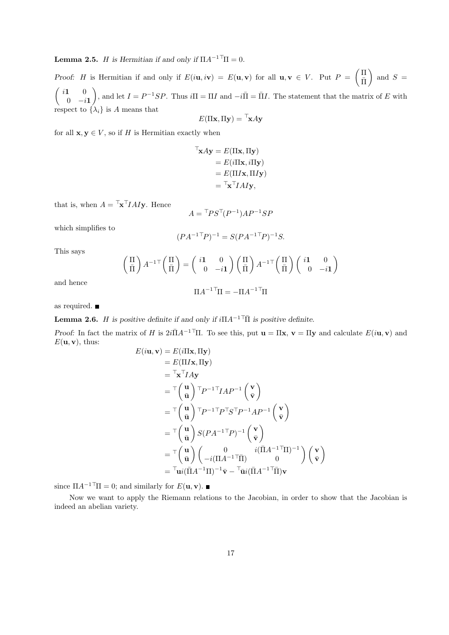**Lemma 2.5.** H is Hermitian if and only if  $\Pi A^{-1} \Pi = 0$ .

Proof: H is Hermitian if and only if  $E(i\mathbf{u}, i\mathbf{v}) = E(\mathbf{u}, \mathbf{v})$  for all  $\mathbf{u}, \mathbf{v} \in V$ . Put  $P = \begin{pmatrix} \Pi \\ \overline{\mathbf{u}} \end{pmatrix}$  $\bar{\Pi}$  $\Big)$  and  $S =$  $\int i\mathbf{1} = 0$  $0 \quad -i1$ ), and let  $I = P^{-1}SP$ . Thus  $i\Pi = \Pi I$  and  $-i\Pi = \Pi I$ . The statement that the matrix of E with respect to  $\{\lambda_i\}$  is A means that

$$
E(\Pi \mathbf{x}, \Pi \mathbf{y}) = \mathbf{x} A \mathbf{y}
$$

for all  $x, y \in V$ , so if H is Hermitian exactly when

$$
\begin{aligned} \mathbf{T}_{\mathbf{X}} A \mathbf{y} &= E(\Pi \mathbf{x}, \Pi \mathbf{y}) \\ &= E(i \Pi \mathbf{x}, i \Pi \mathbf{y}) \\ &= E(\Pi I \mathbf{x}, \Pi I \mathbf{y}) \\ &= \mathbf{T}_{\mathbf{X}} \mathbf{T} I A I \mathbf{y}, \end{aligned}
$$

that is, when  $A = \mathsf{I} \mathbf{x}^{\mathsf{T}} I A I \mathbf{y}$ . Hence

$$
A = \mathsf{L} \mathsf{P} \mathsf{S} \mathsf{L} \mathsf{P}^{-1} \mathsf{A} \mathsf{P}^{-1} \mathsf{S} \mathsf{P}
$$

which simplifies to

$$
(PA^{-1\top}P)^{-1} = S(PA^{-1\top}P)^{-1}S.
$$

This says

$$
\begin{pmatrix} \Pi \\ \bar{\Pi} \end{pmatrix} A^{-1\top} \begin{pmatrix} \Pi \\ \bar{\Pi} \end{pmatrix} = \begin{pmatrix} i\mathbf{1} & 0 \\ 0 & -i\mathbf{1} \end{pmatrix} \begin{pmatrix} \Pi \\ \bar{\Pi} \end{pmatrix} A^{-1\top} \begin{pmatrix} \Pi \\ \bar{\Pi} \end{pmatrix} \begin{pmatrix} i\mathbf{1} & 0 \\ 0 & -i\mathbf{1} \end{pmatrix}
$$

and hence

$$
\Pi A^{-1\top} \Pi = -\Pi A^{-1\top} \Pi
$$

as required.

**Lemma 2.6.** H is positive definite if and only if  $i\Pi A^{-1\top} \overline{\Pi}$  is positive definite.

Proof: In fact the matrix of H is  $2i\overline{H}A^{-1}\overline{H}$ . To see this, put  $\mathbf{u} = \Pi\mathbf{x}, \mathbf{v} = \Pi\mathbf{y}$  and calculate  $E(i\mathbf{u}, \mathbf{v})$  and  $E(\mathbf{u}, \mathbf{v})$ , thus:  $E($ 

$$
\begin{aligned}\n(i\mathbf{u}, \mathbf{v}) &= E(i\Pi\mathbf{x}, \Pi\mathbf{y}) \\
&= E(\Pi I\mathbf{x}, \Pi\mathbf{y}) \\
&= \mathbf{\bar{r}} \mathbf{x}^{\top} I A \mathbf{y} \\
&= \mathbf{\bar{r}} \begin{pmatrix} \mathbf{u} \\ \mathbf{\bar{u}} \end{pmatrix}^{\top} P^{-1\top} I A P^{-1} \begin{pmatrix} \mathbf{v} \\ \mathbf{\bar{v}} \end{pmatrix} \\
&= \mathbf{\bar{r}} \begin{pmatrix} \mathbf{u} \\ \mathbf{\bar{u}} \end{pmatrix}^{\top} P^{-1\top} P^{\top} S^{\top} P^{-1} A P^{-1} \begin{pmatrix} \mathbf{v} \\ \mathbf{\bar{v}} \end{pmatrix} \\
&= \mathbf{\bar{r}} \begin{pmatrix} \mathbf{u} \\ \mathbf{\bar{u}} \end{pmatrix} S (P A^{-1\top} P)^{-1} \begin{pmatrix} \mathbf{v} \\ \mathbf{\bar{v}} \end{pmatrix} \\
&= \mathbf{\bar{r}} \begin{pmatrix} \mathbf{u} \\ \mathbf{\bar{u}} \end{pmatrix} \begin{pmatrix} 0 & i(\bar{\Pi} A^{-1\top} \Pi)^{-1} \\ -i(\Pi A^{-1\top} \Pi)^{-1} \mathbf{\bar{v}} - \mathbf{\bar{u}} i(\bar{\Pi} A^{-1\top} \Pi) \mathbf{v} \end{pmatrix} \begin{pmatrix} \mathbf{v} \\ \mathbf{\bar{v}} \end{pmatrix}\n\end{aligned}
$$

since  $\Pi A^{-1\top} \Pi = 0$ ; and similarly for  $E(\mathbf{u}, \mathbf{v})$ .

Now we want to apply the Riemann relations to the Jacobian, in order to show that the Jacobian is indeed an abelian variety.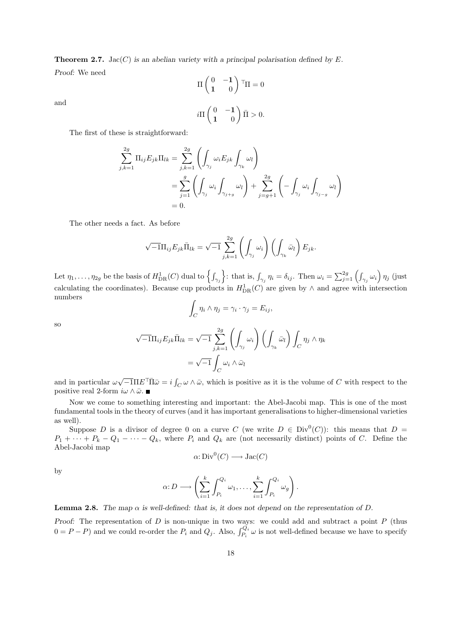**Theorem 2.7.** Jac(C) is an abelian variety with a principal polarisation defined by E. Proof: We need

$$
\Pi \begin{pmatrix} 0 & -\mathbf{1} \\ \mathbf{1} & 0 \end{pmatrix}^\top \Pi = 0
$$

$$
i\Pi \begin{pmatrix} 0 & -\mathbf{1} \\ \mathbf{1} & 0 \end{pmatrix} \bar{\Pi} > 0.
$$

The first of these is straightforward:

$$
\sum_{j,k=1}^{2g} \Pi_{ij} E_{jk} \Pi_{lk} = \sum_{j,k=1}^{2g} \left( \int_{\gamma_j} \omega_i E_{jk} \int_{\gamma_k} \omega_l \right)
$$
  
= 
$$
\sum_{j=1}^{g} \left( \int_{\gamma_j} \omega_i \int_{\gamma_{j+g}} \omega_l \right) + \sum_{j=g+1}^{2g} \left( - \int_{\gamma_j} \omega_i \int_{\gamma_{j-g}} \omega_l \right)
$$
  
= 0.

The other needs a fact. As before

$$
\sqrt{-1}\Pi_{ij}E_{jk}\bar{\Pi}_{lk} = \sqrt{-1}\sum_{j,k=1}^{2g}\left(\int_{\gamma_j}\omega_i\right)\left(\int_{\gamma_k}\bar{\omega}_l\right)E_{jk}.
$$

Let  $\eta_1, \ldots, \eta_{2g}$  be the basis of  $H^1_{\text{DR}}(C)$  dual to  $\left\{ \int_{\gamma_j} \right\}$ : that is,  $\int_{\gamma_j} \eta_i = \delta_{ij}$ . Then  $\omega_i = \sum_{j=1}^{2g} \left( \int_{\gamma_j} \omega_i \right) \eta_j$  (just calculating the coordinates). Because cup products in  $H_{DR}^{1}(C)$  are given by  $\wedge$  and agree with intersection numbers

$$
\int_C \eta_i \wedge \eta_j = \gamma_i \cdot \gamma_j = E_{ij},
$$

so

and

$$
\sqrt{-1}\Pi_{ij}E_{jk}\bar{\Pi}_{lk} = \sqrt{-1}\sum_{j,k=1}^{2g} \left(\int_{\gamma_j} \omega_i\right) \left(\int_{\gamma_k} \bar{\omega}_l\right) \int_C \eta_j \wedge \eta_k
$$

$$
= \sqrt{-1}\int_C \omega_i \wedge \bar{\omega}_l
$$

and in particular  $\omega\sqrt{-1}\Pi E^{\top}\Pi\bar{\omega}=i\int_C\omega\wedge\bar{\omega}$ , which is positive as it is the volume of C with respect to the positive real 2-form  $i\omega \wedge \bar{\omega}$ .

Now we come to something interesting and important: the Abel-Jacobi map. This is one of the most fundamental tools in the theory of curves (and it has important generalisations to higher-dimensional varieties as well).

Suppose D is a divisor of degree 0 on a curve C (we write  $D \in Div^0(C)$ ): this means that  $D =$  $P_1 + \cdots + P_k - Q_1 - \cdots - Q_k$ , where  $P_i$  and  $Q_k$  are (not necessarily distinct) points of C. Define the Abel-Jacobi map

$$
\alpha: \text{Div}^0(C) \longrightarrow \text{Jac}(C)
$$

by

$$
\alpha: D \longrightarrow \left(\sum_{i=1}^k \int_{P_i}^{Q_i} \omega_1, \dots, \sum_{i=1}^k \int_{P_i}^{Q_i} \omega_g\right).
$$

**Lemma 2.8.** The map  $\alpha$  is well-defined: that is, it does not depend on the representation of D.

Proof: The representation of  $D$  is non-unique in two ways: we could add and subtract a point  $P$  (thus  $0 = P - P$ ) and we could re-order the  $P_i$  and  $Q_j$ . Also,  $\int_{P_i}^{Q_i} \omega$  is not well-defined because we have to specify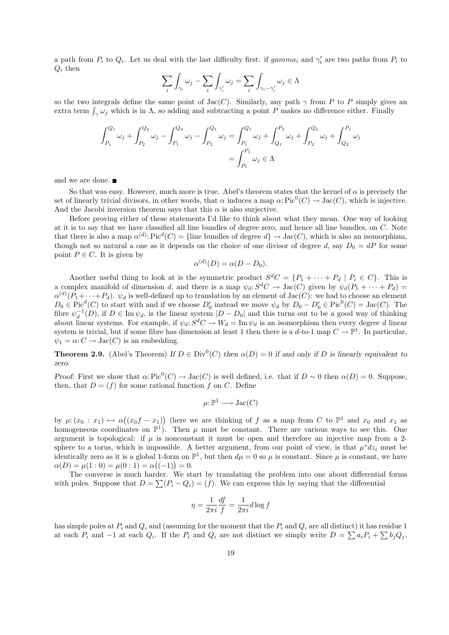a path from  $P_i$  to  $Q_i$ . Let us deal with the last difficulty first: if  $gamma_i$  and  $\gamma'_i$  are two paths from  $P_i$  to  $Q_i$  then

$$
\sum_{i} \int_{\gamma_i} \omega_j - \sum_{i} \int_{\gamma'_i} \omega_j = \sum_{i} \int_{\gamma_i - \gamma'_i} \omega_j \in \Lambda
$$

so the two integrals define the same point of Jac(C). Similarly, any path  $\gamma$  from P to P simply gives an extra term  $\int_{\gamma} \omega_j$  which is in  $\Lambda$ , so adding and subtracting a point P makes no difference either. Finally

$$
\int_{P_1}^{Q_1} \omega_j + \int_{P_2}^{Q_2} \omega_j - \int_{P_1}^{Q_2} \omega_j - \int_{P_2}^{Q_1} \omega_j = \int_{P_1}^{Q_1} \omega_j + \int_{Q_1}^{P_2} \omega_j + \int_{P_2}^{Q_2} \omega_j + \int_{Q_2}^{P_1} \omega_j
$$

$$
= \int_{P_1}^{P_1} \omega_j \in \Lambda
$$

and we are done.

So that was easy. However, much more is true. Abel's theorem states that the kernel of  $\alpha$  is precisely the set of linearly trivial divisors, in other words, that  $\alpha$  induces a map  $\alpha: Pic^0(C) \to Jac(C)$ , which is injective. And the Jacobi inversion theorem says that this  $\alpha$  is also surjective.

Before proving either of these statements I'd like to think about what they mean. One way of looking at it is to say that we have classified all line bundles of degree zero, and hence all line bundles, on C. Note that there is also a map  $\alpha^{(d)}$ : Pic<sup>d</sup>(C) = {line bundles of degree  $d$ }  $\rightarrow$  Jac(C), which is also an isomorphism, though not so natural a one as it depends on the choice of one divisor of degree d, say  $D_0 = dP$  for some point  $P \in C$ . It is given by

$$
\alpha^{(d)}(D) = \alpha(D - D_0).
$$

Another useful thing to look at is the symmetric product  $S^dC = \{P_1 + \cdots + P_d \mid P_i \in C\}$ . This is a complex manifold of dimension d, and there is a map  $\psi_d : S^dC \to \text{Jac}(C)$  given by  $\psi_d(P_1 + \cdots + P_d) =$  $\alpha^{(d)}(P_1+\cdots+P_d)$ .  $\psi_d$  is well-defined up to translation by an element of Jac(C): we had to choose an element  $D_0 \in Pic^d(C)$  to start with and if we choose  $D'_0$  instead we move  $\psi_d$  by  $D_0 - D'_0 \in Pic^0(C) = Jac(C)$ . The fibre  $\psi_d^{-1}(D)$ , if  $D \in \text{Im } \psi_d$ , is the linear system  $|D - D_0|$  and this turns out to be a good way of thinking about linear systems. For example, if  $\psi_d : S^dC \to W_d = \text{Im } \psi_d$  is an isomorphism then every degree d linear system is trivial, but if some fibre has dimension at least 1 then there is a d-to-1 map  $C \to \mathbb{P}^1$ . In particular,  $\psi_1 = \alpha: C \to \text{Jac}(C)$  is an embedding.

**Theorem 2.9.** (Abel's Theorem) If  $D \in Div^0(C)$  then  $\alpha(D) = 0$  if and only if D is linearly equivalent to zero.

Proof: First we show that  $\alpha: Pic^0(C) \to Jac(C)$  is well defined, i.e. that if  $D \sim 0$  then  $\alpha(D) = 0$ . Suppose, then, that  $D = (f)$  for some rational function f on C. Define

$$
\mu: \mathbb{P}^1 \longrightarrow \text{Jac}(C)
$$

by  $\mu$ :  $(x_0 : x_1) \mapsto \alpha((x_0f - x_1))$  (here we are thinking of f as a map from C to  $\mathbb{P}^1$  and  $x_0$  and  $x_1$  as homogeneous coordinates on  $\mathbb{P}^1$ ). Then  $\mu$  must be constant. There are various ways to see this. One argument is topological: if  $\mu$  is nonconstant it must be open and therefore an injective map from a 2sphere to a torus, which is impossible. A better argument, from our point of view, is that  $\mu^* dz_i$  must be identically zero as it is a global 1-form on  $\mathbb{P}^1$ , but then  $d\mu = 0$  so  $\mu$  is constant. Since  $\mu$  is constant, we have  $\alpha(D) = \mu(1:0) = \mu(0:1) = \alpha((-1)) = 0.$ 

The converse is much harder. We start by translating the problem into one about differential forms with poles. Suppose that  $D = \sum (P_i - Q_i) = (f)$ . We can express this by saying that the differential

$$
\eta = \frac{1}{2\pi i} \frac{df}{f} = \frac{1}{2\pi i} d\log f
$$

has simple poles at  $P_i$  and  $Q_i$  and (assuming for the moment that the  $P_i$  and  $Q_i$  are all distinct) it has residue 1 at each  $P_i$  and  $-1$  at each  $Q_i$ . If the  $P_i$  and  $Q_i$  are not distinct we simply write  $D = \sum a_i P_i + \sum b_j Q_j$ ,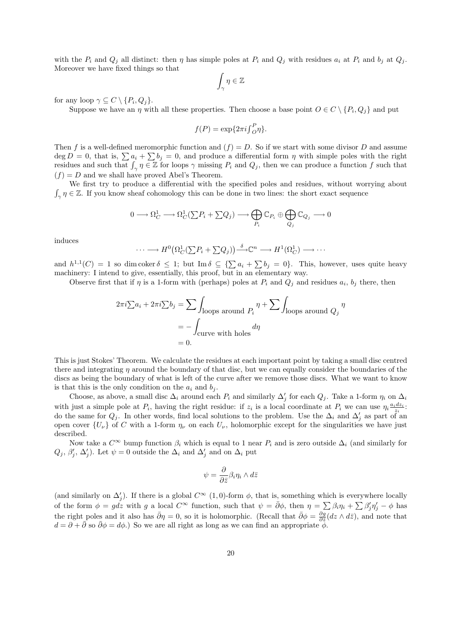with the  $P_i$  and  $Q_j$  all distinct: then  $\eta$  has simple poles at  $P_i$  and  $Q_j$  with residues  $a_i$  at  $P_i$  and  $b_j$  at  $Q_j$ . Moreover we have fixed things so that

$$
\int_{\gamma} \eta \in \mathbb{Z}
$$

for any loop  $\gamma \subseteq C \setminus \{P_i, Q_j\}.$ 

Suppose we have an  $\eta$  with all these properties. Then choose a base point  $O \in C \setminus \{P_i, Q_j\}$  and put

$$
f(P) = \exp\{2\pi i \int_{O}^{P} \eta\}.
$$

Then f is a well-defined meromorphic function and  $(f) = D$ . So if we start with some divisor D and assume  $\deg D = 0$ , that is,  $\sum a_i + \sum b_j = 0$ , and produce a differential form  $\eta$  with simple poles with the right residues and such that  $\int_{\gamma} \eta \in \mathbb{Z}$  for loops  $\gamma$  missing  $P_i$  and  $Q_j$ , then we can produce a function f such that  $(f) = D$  and we shall have proved Abel's Theorem.

We first try to produce a differential with the specified poles and residues, without worrying about  $\int_{\gamma} \eta \in \mathbb{Z}$ . If you know sheaf cohomology this can be done in two lines: the short exact sequence

$$
0\longrightarrow \Omega^1_C\longrightarrow \Omega^1_C(\textstyle{\sum}P_i+\textstyle{\sum}Q_j)\longrightarrow \bigoplus_{P_i}\mathbb{C}_{P_i}\oplus \bigoplus_{Q_j}\mathbb{C}_{Q_j}\longrightarrow 0
$$

induces

$$
\cdots \longrightarrow H^0(\Omega_C^1(\sum P_i + \sum Q_j)) \stackrel{\delta}{\longrightarrow} \mathbb{C}^n \longrightarrow H^1(\Omega_C^1) \longrightarrow \cdots
$$

and  $h^{1,1}(C) = 1$  so dim coker  $\delta \leq 1$ ; but Im  $\delta \subseteq {\sum a_i + \sum b_j = 0}$ . This, however, uses quite heavy machinery: I intend to give, essentially, this proof, but in an elementary way.

Observe first that if  $\eta$  is a 1-form with (perhaps) poles at  $P_i$  and  $Q_j$  and residues  $a_i$ ,  $b_j$  there, then

$$
2\pi i \sum a_i + 2\pi i \sum b_j = \sum \int_{\text{loops around } P_i} \eta + \sum \int_{\text{loops around } Q_j} \eta
$$

$$
= - \int_{\text{curve with holes}} d\eta
$$

$$
= 0.
$$

This is just Stokes' Theorem. We calculate the residues at each important point by taking a small disc centred there and integrating  $\eta$  around the boundary of that disc, but we can equally consider the boundaries of the discs as being the boundary of what is left of the curve after we remove those discs. What we want to know is that this is the only condition on the  $a_i$  and  $b_j$ .

Choose, as above, a small disc  $\Delta_i$  around each  $P_i$  and similarly  $\Delta'_j$  for each  $Q_j$ . Take a 1-form  $\eta_i$  on  $\Delta_i$ with just a simple pole at  $P_i$ , having the right residue: if  $z_i$  is a local coordinate at  $P_i$  we can use  $\eta_i \frac{a_i dz_i}{z_i}$ . do the same for  $Q_j$ . In other words, find local solutions to the problem. Use the  $\Delta_i$  and  $\Delta'_j$  as part of an open cover  $\{U_{\nu}\}\$  of C with a 1-form  $\eta_{\nu}$  on each  $U_{\nu}$ , holomorphic except for the singularities we have just described.

Now take a  $C^{\infty}$  bump function  $\beta_i$  which is equal to 1 near  $P_i$  and is zero outside  $\Delta_i$  (and similarly for  $Q_j$ ,  $\beta'_j$ ,  $\Delta'_j$ ). Let  $\psi = 0$  outside the  $\Delta_i$  and  $\Delta'_j$  and on  $\Delta_i$  put

$$
\psi = \frac{\partial}{\partial \bar{z}} \beta_i \eta_i \wedge d\bar{z}
$$

(and similarly on  $\Delta'_j$ ). If there is a global  $C^{\infty}$  (1,0)-form  $\phi$ , that is, something which is everywhere locally of the form  $\phi = g\tilde{dz}$  with g a local  $C^{\infty}$  function, such that  $\psi = \bar{\partial}\phi$ , then  $\eta = \sum \beta_i \eta_i + \sum \beta'_j \eta'_j - \phi$  has the right poles and it also has  $\bar{\partial}\eta = 0$ , so it is holomorphic. (Recall that  $\bar{\partial}\phi = \frac{\partial g}{\partial \bar{z}}(dz \wedge d\bar{z})$ , and note that  $d = \partial + \overline{\partial}$  so  $\overline{\partial} \phi = d\phi$ .) So we are all right as long as we can find an appropriate  $\phi$ .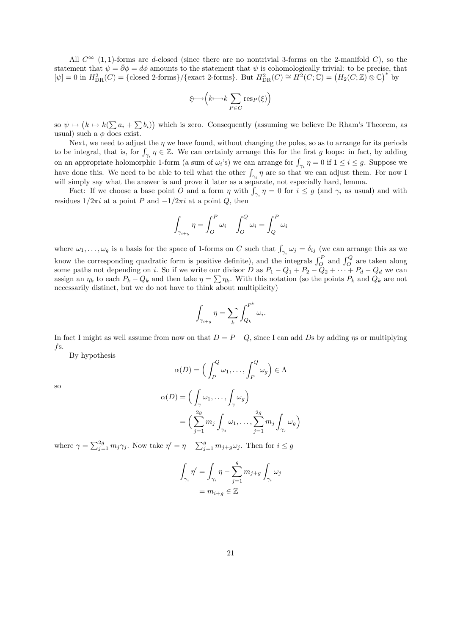All  $C^{\infty}$  (1, 1)-forms are d-closed (since there are no nontrivial 3-forms on the 2-manifold C), so the statement that  $\psi = \bar{\partial}\phi = d\phi$  amounts to the statement that  $\psi$  is cohomologically trivial: to be precise, that  $[\psi]=0$  in  $H_{\text{DR}}^2(C) = {\text{closed 2-forms}}/{\text{exact 2-forms}}$ . But  $H_{\text{DR}}^2(C) \cong H^2(C;\mathbb{C}) = (H_2(C;\mathbb{Z}) \otimes \mathbb{C})^*$  by

$$
\xi \longmapsto \Big(k \longmapsto k \sum_{P \in C} \operatorname{res}_P(\xi)\Big)
$$

so  $\psi \mapsto (k \mapsto k(\sum a_i + \sum b_i))$  which is zero. Consequently (assuming we believe De Rham's Theorem, as usual) such a  $\phi$  does exist.

Next, we need to adjust the  $\eta$  we have found, without changing the poles, so as to arrange for its periods to be integral, that is, for  $\int_{\gamma_i} \eta \in \mathbb{Z}$ . We can certainly arrange this for the first g loops: in fact, by adding on an appropriate holomorphic 1-form (a sum of  $\omega_i$ 's) we can arrange for  $\int_{\gamma_i} \eta = 0$  if  $1 \le i \le g$ . Suppose we have done this. We need to be able to tell what the other  $\int_{\gamma_i} \eta$  are so that we can adjust them. For now I will simply say what the answer is and prove it later as a separate, not especially hard, lemma.

Fact: If we choose a base point O and a form  $\eta$  with  $\int_{\gamma_i} \eta = 0$  for  $i \leq g$  (and  $\gamma_i$  as usual) and with residues  $1/2\pi i$  at a point P and  $-1/2\pi i$  at a point Q, then

$$
\int_{\gamma_{i+g}} \eta = \int_{O}^{P} \omega_i - \int_{O}^{Q} \omega_i = \int_{Q}^{P} \omega_i
$$

where  $\omega_1,\ldots,\omega_g$  is a basis for the space of 1-forms on C such that  $\int_{\gamma_i}\omega_j=\delta_{ij}$  (we can arrange this as we know the corresponding quadratic form is positive definite), and the integrals  $\int_{Q}^{P}$  and  $\int_{Q}^{Q}$  are taken along some paths not depending on *i*. So if we write our divisor D as  $P_1 - Q_1 + P_2 - Q_2 + \cdots + P_d - Q_d$  we can assign an  $\eta_k$  to each  $P_k - Q_k$  and then take  $\eta = \sum \eta_k$ . With this notation (so the points  $P_k$  and  $Q_k$  are not necessarily distinct, but we do not have to think about multiplicity)

$$
\int_{\gamma_{i+g}} \eta = \sum_{k} \int_{Q_k}^{P^k} \omega_i.
$$

In fact I might as well assume from now on that  $D = P - Q$ , since I can add Ds by adding  $\eta$ s or multiplying fs.

By hypothesis

$$
\alpha(D) = \left(\int_P^Q \omega_1, \dots, \int_P^Q \omega_g\right) \in \Lambda
$$

so

$$
\alpha(D) = \left(\int_{\gamma} \omega_1, \dots, \int_{\gamma} \omega_g\right)
$$

$$
= \left(\sum_{j=1}^{2g} m_j \int_{\gamma_j} \omega_1, \dots, \sum_{j=1}^{2g} m_j \int_{\gamma_j} \omega_g\right)
$$

where  $\gamma = \sum_{j=1}^{2g} m_j \gamma_j$ . Now take  $\eta' = \eta - \sum_{j=1}^{g} m_{j+g} \omega_j$ . Then for  $i \le g$ 

$$
\int_{\gamma_i} \eta' = \int_{\gamma_i} \eta - \sum_{j=1}^g m_{j+g} \int_{\gamma_i} \omega_j
$$

$$
= m_{i+g} \in \mathbb{Z}
$$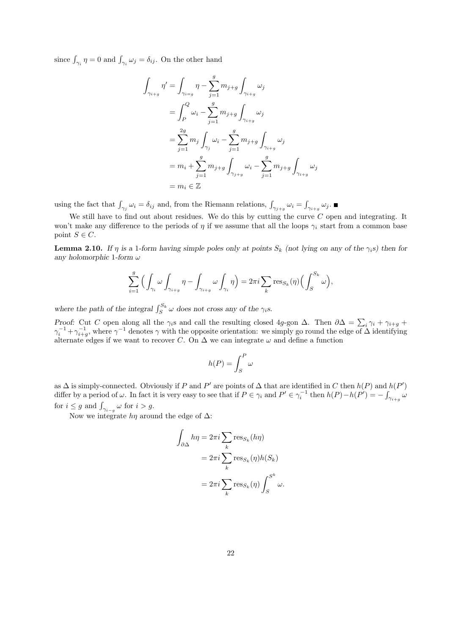since  $\int_{\gamma_i} \eta = 0$  and  $\int_{\gamma_i} \omega_j = \delta_{ij}$ . On the other hand

$$
\int_{\gamma_{i+g}} \eta' = \int_{\gamma_{i=g}} \eta - \sum_{j=1}^{g} m_{j+g} \int_{\gamma_{i+g}} \omega_j
$$
  
\n
$$
= \int_P^Q \omega_i - \sum_{j=1}^{g} m_{j+g} \int_{\gamma_{i+g}} \omega_j
$$
  
\n
$$
= \sum_{j=1}^{2g} m_j \int_{\gamma_j} \omega_i - \sum_{j=1}^{g} m_{j+g} \int_{\gamma_{i+g}} \omega_j
$$
  
\n
$$
= m_i + \sum_{j=1}^{g} m_{j+g} \int_{\gamma_{j+g}} \omega_i - \sum_{j=1}^{g} m_{j+g} \int_{\gamma_{i+g}} \omega_j
$$
  
\n
$$
= m_i \in \mathbb{Z}
$$

using the fact that  $\int_{\gamma_j} \omega_i = \delta_{ij}$  and, from the Riemann relations,  $\int_{\gamma_{j+g}} \omega_i = \int_{\gamma_{i+g}} \omega_j$ .

We still have to find out about residues. We do this by cutting the curve  $C$  open and integrating. It won't make any difference to the periods of  $\eta$  if we assume that all the loops  $\gamma_i$  start from a common base point  $S \in \mathbb{C}$ .

**Lemma 2.10.** If  $\eta$  is a 1-form having simple poles only at points  $S_k$  (not lying on any of the  $\gamma_i s$ ) then for any holomorphic 1-form  $\omega$ 

$$
\sum_{i=1}^{g} \Big( \int_{\gamma_i} \omega \int_{\gamma_{i+g}} \eta - \int_{\gamma_{i+g}} \omega \int_{\gamma_i} \eta \Big) = 2\pi i \sum_{k} \text{res}_{S_k}(\eta) \Big( \int_{S}^{S_k} \omega \Big),
$$

where the path of the integral  $\int_{S}^{S_k} \omega$  does not cross any of the  $\gamma_i$ s.

Proof: Cut C open along all the  $\gamma_i$ s and call the resulting closed 4g-gon  $\Delta$ . Then  $\partial \Delta = \sum_i \gamma_i + \gamma_{i+g} +$  $\gamma_i^{-1} + \gamma_{i+g}^{-1}$ , where  $\gamma^{-1}$  denotes  $\gamma$  with the opposite orientation: we simply go round the edge of  $\Delta$  identifying alternate edges if we want to recover C. On  $\Delta$  we can integrate  $\omega$  and define a function

$$
h(P) = \int_S^P \omega
$$

as  $\Delta$  is simply-connected. Obviously if P and P' are points of  $\Delta$  that are identified in C then  $h(P)$  and  $h(P')$ differ by a period of  $\omega$ . In fact it is very easy to see that if  $P \in \gamma_i$  and  $P' \in \gamma_i^{-1}$  then  $h(P) - h(P') = -\int_{\gamma_{i+g}} \omega_i$ for  $i \leq g$  and  $\int_{\gamma_{i-g}} \omega$  for  $i > g$ .

Now we integrate  $h\eta$  around the edge of  $\Delta$ :

$$
\int_{\partial \Delta} h \eta = 2\pi i \sum_{k} \text{res}_{S_k}(h\eta)
$$

$$
= 2\pi i \sum_{k} \text{res}_{S_k}(\eta) h(S_k)
$$

$$
= 2\pi i \sum_{k} \text{res}_{S_k}(\eta) \int_{S}^{S^k} \omega.
$$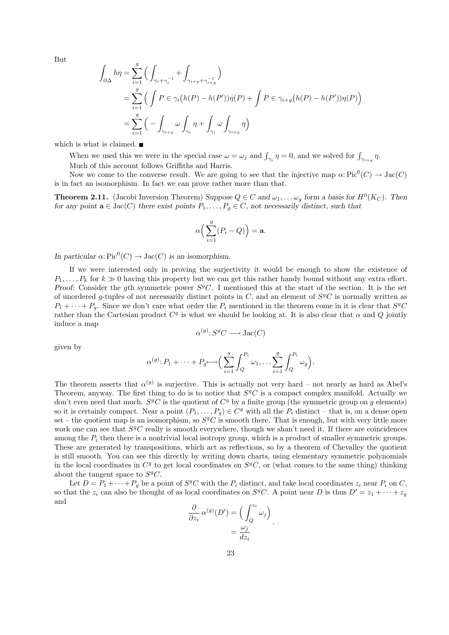But

$$
\int_{\partial\Delta} h\eta = \sum_{i=1}^{g} \Big( \int_{\gamma_i + \gamma_i^{-1}} + \int_{\gamma_{i+g} + \gamma_{i+g}^{-1}} \Big)
$$
  
= 
$$
\sum_{i=1}^{g} \Big( \int P \in \gamma_i (h(P) - h(P')) \eta(P) + \int P \in \gamma_{i+g} (h(P) - h(P')) \eta(P) \Big)
$$
  
= 
$$
\sum_{i=1}^{g} \Big( - \int_{\gamma_{i+g}} \omega \int_{\gamma_i} \eta + \int_{\gamma_i} \omega \int_{\gamma_{i+g}} \eta \Big)
$$

which is what is claimed.  $\blacksquare$ 

When we used this we were in the special case  $\omega = \omega_j$  and  $\int_{\gamma_i} \eta = 0$ , and we solved for  $\int_{\gamma_{i+g}} \eta$ . Much of this account follows Griffiths and Harris.

Now we come to the converse result. We are going to see that the injective map  $\alpha: Pic^0(C) \to Jac(C)$ is in fact an isomorphism. In fact we can prove rather more than that.

**Theorem 2.11.** (Jacobi Inversion Theorem) Suppose  $Q \in \mathbb{C}$  and  $\omega_1, \ldots, \omega_g$  form a basis for  $H^0(K_{\mathbb{C}})$ . Then for any point  $\mathbf{a} \in \text{Jac}(C)$  there exist points  $P_1, \ldots, P_q \in C$ , not necessarily distinct, such that

$$
\alpha\Big(\sum_{i=1}^g (P_i - Q)\Big) = \mathbf{a}.
$$

In particular  $\alpha: Pic^0(C) \to Jac(C)$  is an isomorphism.

If we were interested only in proving the surjectivity it would be enough to show the existence of  $P_1, \ldots, P_k$  for  $k \geq 0$  having this property but we can get this rather handy bound without any extra effort. Proof: Consider the gth symmetric power  $S<sup>g</sup>C$ . I mentioned this at the start of the section. It is the set of unordered g-tuples of not necessarily distinct points in  $C$ , and an element of  $S<sup>g</sup>C$  is normally written as  $P_1 + \cdots + P_g$ . Since we don't care what order the  $P_i$  mentioned in the theorem come in it is clear that  $S^gC$ rather than the Cartesian product  $C<sup>g</sup>$  is what we should be looking at. It is also clear that  $\alpha$  and  $Q$  jointly induce a map

$$
\alpha^{(g)}: S^gC \longrightarrow \text{Jac}(C)
$$

given by

$$
\alpha^{(g)} \colon P_1 + \dots + P_{g} \longrightarrow \Big( \sum_{i=1}^g \int_Q^{P_i} \omega_1, \dots \sum_{i=1}^g \int_Q^{P_i} \omega_g \Big).
$$

The theorem asserts that  $\alpha^{(g)}$  is surjective. This is actually not very hard – not nearly as hard as Abel's Theorem, anyway. The first thing to do is to notice that  $S<sup>g</sup>C$  is a compact complex manifold. Actually we don't even need that much.  $S^gC$  is the quotient of  $C^g$  by a finite group (the symmetric group on g elements) so it is certainly compact. Near a point  $(P_1, \ldots, P_g) \in C^g$  with all the  $P_i$  distinct – that is, on a dense open set – the quotient map is an isomorphism, so  $S^gC$  is smooth there. That is enough, but with very little more work one can see that  $S<sup>g</sup>C$  really is smooth everywhere, though we shan't need it. If there are coincidences among the  $P_i$  then there is a nontrivial local isotropy group, which is a product of smaller symmetric groups. These are generated by transpositions, which act as reflections, so by a theorem of Chevalley the quotient is still smooth. You can see this directly by writing down charts, using elementary symmetric polynomials in the local coordinates in  $C<sup>g</sup>$  to get local coordinates on  $S<sup>g</sup>C$ , or (what comes to the same thing) thinking about the tangent space to  $S^gC$ .

Let  $D = P_1 + \cdots + P_g$  be a point of  $S^gC$  with the  $P_i$  distinct, and take local coordinates  $z_i$  near  $P_i$  on  $C$ , so that the  $z_i$  can also be thought of as local coordinates on  $S^gC$ . A point near D is thus  $D' = z_1 + \cdots + z_g$ and

$$
\frac{\partial}{\partial z_i} \alpha^{(g)}(D') = \left(\int_Q^{z_i} \omega_j\right) = \frac{\omega_j}{dz_i}.
$$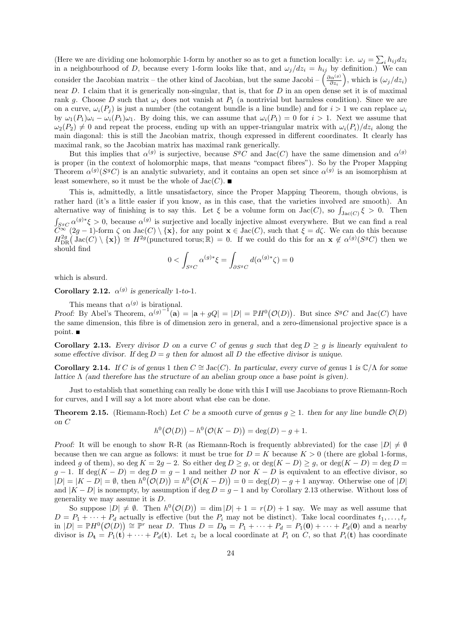(Here we are dividing one holomorphic 1-form by another so as to get a function locally: i.e.  $\omega_j = \sum_i h_{ij} dz_i$ in a neighbourhood of D, because every 1-form looks like that, and  $\omega_j/dz_i = h_{ij}$  by definition.) We can consider the Jacobian matrix – the other kind of Jacobian, but the same Jacobi –  $\left(\frac{\partial \alpha^{(g)}}{\partial z_i}\right)$ , which is  $(\omega_j/dz_i)$ near  $D$ . I claim that it is generically non-singular, that is, that for  $D$  in an open dense set it is of maximal rank g. Choose D such that  $\omega_1$  does not vanish at  $P_1$  (a nontrivial but harmless condition). Since we are on a curve,  $\omega_i(P_i)$  is just a number (the cotangent bundle is a line bundle) and for  $i > 1$  we can replace  $\omega_i$ by  $\omega_1(P_1)\omega_i - \omega_i(P_1)\omega_1$ . By doing this, we can assume that  $\omega_i(P_1) = 0$  for  $i > 1$ . Next we assume that  $\omega_2(P_2) \neq 0$  and repeat the process, ending up with an upper-triangular matrix with  $\omega_i(P_i)/dz_i$  along the main diagonal: this is still the Jacobian matrix, though expressed in different coordinates. It clearly has maximal rank, so the Jacobian matrix has maximal rank generically.

But this implies that  $\alpha^{(g)}$  is surjective, because  $S^gC$  and Jac(C) have the same dimension and  $\alpha^{(g)}$ is proper (in the context of holomorphic maps, that means "compact fibres"). So by the Proper Mapping Theorem  $\alpha^{(g)}(S^gC)$  is an analytic subvariety, and it contains an open set since  $\alpha^{(g)}$  is an isomorphism at least somewhere, so it must be the whole of  $Jac(C)$ .

This is, admittedly, a little unsatisfactory, since the Proper Mapping Theorem, though obvious, is rather hard (it's a little easier if you know, as in this case, that the varieties involved are smooth). An alternative way of finishing is to say this. Let  $\xi$  be a volume form on  $Jac(C)$ , so  $\int_{Jac(C)} \xi > 0$ . Then  $\int_{S^gC} \alpha^{(g)*}\xi > 0$ , because  $\alpha^{(g)}$  is surjective and locally injective almost everywhere. But we can find a real  $\widetilde{C}^{\infty}(2g-1)$ -form  $\zeta$  on  $\text{Jac}(C) \setminus \{\mathbf{x}\}\$ , for any point  $\mathbf{x} \in \text{Jac}(C)$ , such that  $\xi = d\zeta$ . We can do this because  $H^{2g}_{\text{DR}}(\text{Jac}(C)\setminus\{\mathbf{x}\}) \cong H^{2g}(\text{punctured torus};\mathbb{R}) = 0$ . If we could do this for an  $\mathbf{x} \notin \alpha^{(g)}(S^gC)$  then we should find

$$
0 < \int_{S^gC} \alpha^{(g)*}\xi = \int_{\partial S^gC} d(\alpha^{(g)*}\zeta) = 0
$$

which is absurd.

point.

Corollary 2.12.  $\alpha^{(g)}$  is generically 1-to-1.

This means that  $\alpha^{(g)}$  is birational. Proof: By Abel's Theorem,  $\alpha^{(g)^{-1}}(a) = |a + gQ| = |D| = \mathbb{P}H^0(\mathcal{O}(D)).$  But since  $S^gC$  and  $Jac(C)$  have the same dimension, this fibre is of dimension zero in general, and a zero-dimensional projective space is a

Corollary 2.13. Every divisor D on a curve C of genus g such that deg  $D \geq g$  is linearly equivalent to some effective divisor. If deg  $D = g$  then for almost all D the effective divisor is unique.

Corollary 2.14. If C is of genus 1 then  $C \cong \text{Jac}(C)$ . In particular, every curve of genus 1 is  $\mathbb{C}/\Lambda$  for some lattice  $\Lambda$  (and therefore has the structure of an abelian group once a base point is given).

Just to establish that something can really be done with this I will use Jacobians to prove Riemann-Roch for curves, and I will say a lot more about what else can be done.

**Theorem 2.15.** (Riemann-Roch) Let C be a smooth curve of genus  $q > 1$ . then for any line bundle  $\mathcal{O}(D)$ on C

$$
h^{0}(O(D)) - h^{0}(O(K - D)) = deg(D) - g + 1.
$$

Proof: It will be enough to show R-R (as Riemann-Roch is frequently abbreviated) for the case  $|D| \neq \emptyset$ because then we can argue as follows: it must be true for  $D = K$  because  $K > 0$  (there are global 1-forms, indeed g of them), so deg  $K = 2g - 2$ . So either deg  $D \geq g$ , or deg $(K - D) \geq g$ , or deg $(K - D) = \text{deg } D =$  $g-1$ . If deg(K – D) = deg D = g – 1 and neither D nor K – D is equivalent to an effective divisor, so  $|D| = |K - D| = \emptyset$ , then  $h^0(\mathcal{O}(D)) = h^0(\mathcal{O}(K - D)) = 0 = \deg(D) - g + 1$  anyway. Otherwise one of  $|D|$ and  $|K - D|$  is nonempty, by assumption if deg  $D = g - 1$  and by Corollary 2.13 otherwise. Without loss of generality we may assume it is D.

So suppose  $|D| \neq \emptyset$ . Then  $h^0(\mathcal{O}(D)) = \dim |D| + 1 = r(D) + 1$  say. We may as well assume that  $D = P_1 + \cdots + P_d$  actually is effective (but the  $P_i$  may not be distinct). Take local coordinates  $t_1, \ldots, t_r$ in  $|D| = \mathbb{P}H^0(\mathcal{O}(D)) \cong \mathbb{P}^r$  near D. Thus  $D = D_0 = P_1 + \cdots + P_d = P_1(0) + \cdots + P_d(0)$  and a nearby divisor is  $D_t = P_1(t) + \cdots + P_d(t)$ . Let  $z_i$  be a local coordinate at  $P_i$  on C, so that  $P_i(t)$  has coordinate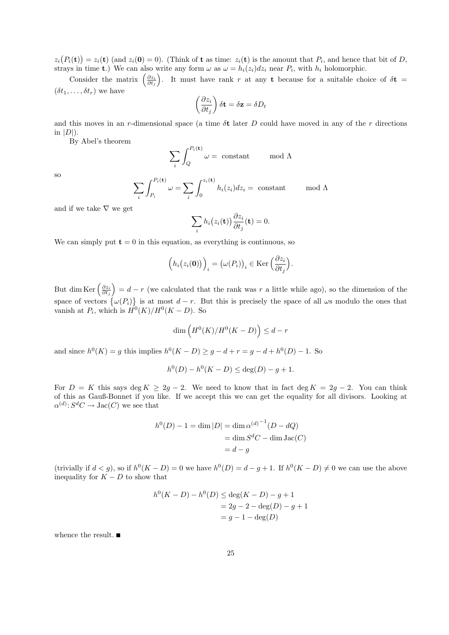$z_i(P_i(\mathbf{t})) = z_i(\mathbf{t})$  (and  $z_i(\mathbf{0}) = 0$ ). (Think of **t** as time:  $z_i(\mathbf{t})$  is the amount that  $P_i$ , and hence that bit of D, strays in time **t**.) We can also write any form  $\omega$  as  $\omega = h_i(z_i)dz_i$  near  $P_i$ , with  $h_i$  holomorphic.

Consider the matrix  $\left(\frac{\partial z_i}{\partial t_j}\right)$ . It must have rank r at any t because for a suitable choice of  $\delta t =$  $(\delta t_1, \ldots, \delta t_r)$  we have

$$
\left(\frac{\partial z_i}{\partial t_j}\right)\delta \mathbf{t} = \delta \mathbf{z} = \delta D_t
$$

and this moves in an r-dimensional space (a time  $\delta t$  later D could have moved in any of the r directions in  $|D|$ ).

By Abel's theorem

$$
\sum_{i} \int_{Q}^{P_i(\mathbf{t})} \omega = \text{ constant} \quad \text{mod } \Lambda
$$

so

$$
\sum_{i} \int_{P_i}^{P_i(\mathbf{t})} \omega = \sum_{i} \int_0^{z_i(\mathbf{t})} h_i(z_i) dz_i = \text{ constant} \quad \text{mod } \Lambda
$$

and if we take  $\nabla$  we get

$$
\sum_{i} h_i(z_i(\mathbf{t})) \frac{\partial z_i}{\partial t_j}(\mathbf{t}) = 0.
$$

We can simply put  $t = 0$  in this equation, as everything is continuous, so

$$
\left(h_i(z_i(\mathbf{0}))\right)_i = \left(\omega(P_i)\right)_i \in \text{Ker}\left(\frac{\partial z_i}{\partial t_j}\right).
$$

But dim Ker  $\left(\frac{\partial z_i}{\partial t_j}\right) = d - r$  (we calculated that the rank was r a little while ago), so the dimension of the space of vectors  $\{\omega(P_i)\}\$ is at most  $d-r$ . But this is precisely the space of all  $\omega$ s modulo the ones that vanish at  $P_i$ , which is  $H^0(K)/H^0(K - D)$ . So

$$
\dim\left(H^0(K)/H^0(K-D)\right)\leq d-r
$$

and since  $h^0(K) = g$  this implies  $h^0(K - D) \ge g - d + r = g - d + h^0(D) - 1$ . So

$$
h^{0}(D) - h^{0}(K - D) \le \deg(D) - g + 1.
$$

For  $D = K$  this says deg  $K \geq 2g - 2$ . We need to know that in fact deg  $K = 2g - 2$ . You can think of this as Gauß-Bonnet if you like. If we accept this we can get the equality for all divisors. Looking at  $\alpha^{(d)}: S^dC \to \text{Jac}(C)$  we see that

$$
h^{0}(D) - 1 = \dim |D| = \dim \alpha^{(d)^{-1}}(D - dQ)
$$

$$
= \dim S^{d}C - \dim \operatorname{Jac}(C)
$$

$$
= d - g
$$

(trivially if  $d < g$ ), so if  $h^0(K - D) = 0$  we have  $h^0(D) = d - g + 1$ . If  $h^0(K - D) \neq 0$  we can use the above inequality for  $K - D$  to show that

$$
h^{0}(K - D) - h^{0}(D) \le \deg(K - D) - g + 1
$$
  
= 2g - 2 - deg(D) - g + 1  
= g - 1 - deg(D)

whence the result.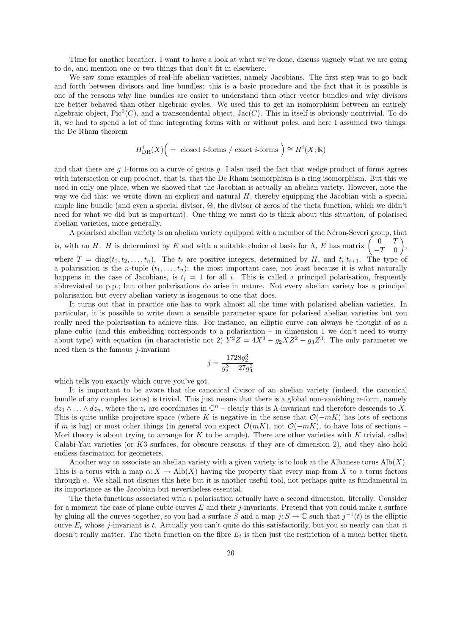Time for another breather. I want to have a look at what we've done, discuss vaguely what we are going to do, and mention one or two things that don't fit in elsewhere.

We saw some examples of real-life abelian varieties, namely Jacobians. The first step was to go back and forth between divisors and line bundles: this is a basic procedure and the fact that it is possible is one of the reasons why line bundles are easier to understand than other vector bundles and why divisors are better behaved than other algebraic cycles. We used this to get an isomorphism between an entirely algebraic object,  $Pic^0(C)$ , and a transcendental object, Jac $(C)$ . This in itself is obviously nontrivial. To do it, we had to spend a lot of time integrating forms with or without poles, and here I assumed two things: the De Rham theorem

$$
H^i_{\text{DR}}(X) \Big( = \text{ closed } i\text{-forms } / \text{ exact } i\text{-forms } \Big) \cong H^i(X; \mathbb{R})
$$

and that there are  $g$  1-forms on a curve of genus  $g$ . I also used the fact that wedge product of forms agrees with intersection or cup product, that is, that the De Rham isomorphism is a ring isomorphism. But this we used in only one place, when we showed that the Jacobian is actually an abelian variety. However, note the way we did this: we wrote down an explicit and natural  $H$ , thereby equipping the Jacobian with a special ample line bundle (and even a special divisor, Θ, the divisor of zeros of the theta function, which we didn't need for what we did but is important). One thing we must do is think about this situation, of polarised abelian varieties, more generally.

A polarised abelian variety is an abelian variety equipped with a member of the Néron-Severi group, that is, with an H. H is determined by E and with a suitable choice of basis for  $\Lambda$ , E has matrix  $\begin{pmatrix} 0 & T \\ T & 0 \end{pmatrix}$  $-T$  0  $\bigg)$ , where  $T = diag(t_1, t_2, \ldots, t_n)$ . The  $t_i$  are positive integers, determined by H, and  $t_i | t_{i+1}$ . The type of a polarisation is the n-tuple  $(t_1, \ldots, t_n)$ : the most important case, not least because it is what naturally happens in the case of Jacobians, is  $t_i = 1$  for all i. This is called a principal polarisation, frequently abbreviated to p.p.; but other polarisations do arise in nature. Not every abelian variety has a principal polarisation but every abelian variety is isogenous to one that does.

It turns out that in practice one has to work almost all the time with polarised abelian varieties. In particular, it is possible to write down a sensible parameter space for polarised abelian varieties but you really need the polarisation to achieve this. For instance, an elliptic curve can always be thought of as a plane cubic (and this embedding corresponds to a polarisation – in dimension 1 we don't need to worry about type) with equation (in characteristic not 2)  $Y^2Z = 4X^3 - g_2XZ^2 - g_3Z^3$ . The only parameter we need then is the famous  $j$ -invariant

$$
j = \frac{1728g_2^3}{g_2^3 - 27g_3^2}
$$

which tells you exactly which curve you've got.

It is important to be aware that the canonical divisor of an abelian variety (indeed, the canonical bundle of any complex torus) is trivial. This just means that there is a global non-vanishing  $n$ -form, namely  $dz_1 \wedge \ldots \wedge dz_n$ , where the  $z_i$  are coordinates in  $\mathbb{C}^n$  – clearly this is  $\Lambda$ -invariant and therefore descends to X. This is quite unlike projective space (where K is negative in the sense that  $\mathcal{O}(-mK)$  has lots of sections if m is big) or most other things (in general you expect  $\mathcal{O}(mK)$ , not  $\mathcal{O}(-mK)$ , to have lots of sections – Mori theory is about trying to arrange for  $K$  to be ample). There are other varieties with  $K$  trivial, called Calabi-Yau varieties (or K3 surfaces, for obscure reasons, if they are of dimension 2), and they also hold endless fascination for geometers.

Another way to associate an abelian variety with a given variety is to look at the Albanese torus  $\text{Alb}(X)$ . This is a torus with a map  $\alpha: X \to \text{Alb}(X)$  having the property that every map from X to a torus factors through  $\alpha$ . We shall not discuss this here but it is another useful tool, not perhaps quite as fundamental in its importance as the Jacobian but nevertheless essential.

The theta functions associated with a polarisation actually have a second dimension, literally. Consider for a moment the case of plane cubic curves  $E$  and their j-invariants. Pretend that you could make a surface by gluing all the curves together, so you had a surface S and a map  $j: S \to \mathbb{C}$  such that  $j^{-1}(t)$  is the elliptic curve  $E_t$  whose j-invariant is t. Actually you can't quite do this satisfactorily, but you so nearly can that it doesn't really matter. The theta function on the fibre  $E_t$  is then just the restriction of a much better theta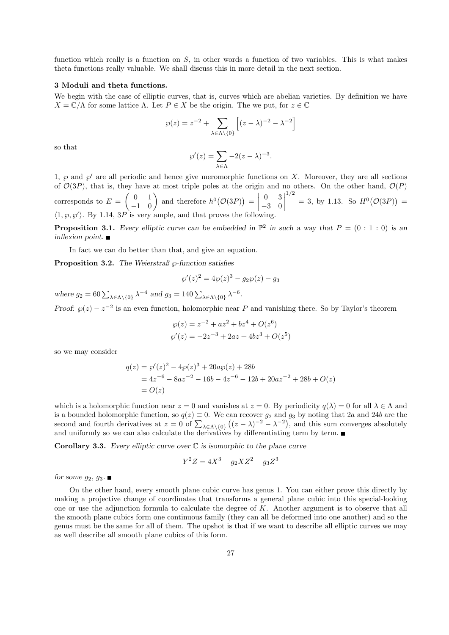function which really is a function on  $S$ , in other words a function of two variables. This is what makes theta functions really valuable. We shall discuss this in more detail in the next section.

# 3 Moduli and theta functions.

We begin with the case of elliptic curves, that is, curves which are abelian varieties. By definition we have  $X = \mathbb{C}/\Lambda$  for some lattice  $\Lambda$ . Let  $P \in X$  be the origin. The we put, for  $z \in \mathbb{C}$ 

$$
\wp(z) = z^{-2} + \sum_{\lambda \in \Lambda \setminus \{0\}} \left[ (z - \lambda)^{-2} - \lambda^{-2} \right]
$$

so that

$$
\wp'(z) = \sum_{\lambda \in \Lambda} -2(z - \lambda)^{-3}.
$$

1,  $\wp$  and  $\wp'$  are all periodic and hence give meromorphic functions on X. Moreover, they are all sections of  $\mathcal{O}(3P)$ , that is, they have at most triple poles at the origin and no others. On the other hand,  $\mathcal{O}(P)$ corresponds to  $E = \begin{pmatrix} 0 & 1 \\ -1 & 0 \end{pmatrix}$  and therefore  $h^0(\mathcal{O}(3P)) =$ 0 3 −3 0  $\begin{array}{c} \begin{array}{c} \begin{array}{c} \end{array} \\ \begin{array}{c} \end{array} \end{array} \end{array}$ 1/2  $= 3$ , by 1.13. So  $H^0(\mathcal{O}(3P)) =$  $\langle 1, \varphi, \varphi' \rangle$ . By 1.14, 3P is very ample, and that proves the following.

**Proposition 3.1.** Every elliptic curve can be embedded in  $\mathbb{P}^2$  in such a way that  $P = (0 : 1 : 0)$  is an inflexion point.  $\blacksquare$ 

In fact we can do better than that, and give an equation.

**Proposition 3.2.** The Weierstraß  $\wp$ -function satisfies

$$
\wp'(z)^2 = 4\wp(z)^3 - g_2\wp(z) - g_3
$$

where  $g_2 = 60 \sum_{\lambda \in \Lambda \setminus \{0\}} \lambda^{-4}$  and  $g_3 = 140 \sum_{\lambda \in \Lambda \setminus \{0\}} \lambda^{-6}$ .

Proof:  $\varphi(z) - z^{-2}$  is an even function, holomorphic near P and vanishing there. So by Taylor's theorem

$$
\wp(z) = z^{-2} + az^2 + bz^4 + O(z^6)
$$
  

$$
\wp'(z) = -2z^{-3} + 2az + 4bz^3 + O(z^5)
$$

so we may consider

$$
q(z) = \wp'(z)^2 - 4\wp(z)^3 + 20a\wp(z) + 28b
$$
  
= 4z<sup>-6</sup> - 8az<sup>-2</sup> - 16b - 4z<sup>-6</sup> - 12b + 20az<sup>-2</sup> + 28b + O(z)  
= O(z)

which is a holomorphic function near  $z = 0$  and vanishes at  $z = 0$ . By periodicity  $q(\lambda) = 0$  for all  $\lambda \in \Lambda$  and is a bounded holomorphic function, so  $q(z) \equiv 0$ . We can recover  $g_2$  and  $g_3$  by noting that 2a and 24b are the second and fourth derivatives at  $z = 0$  of  $\sum_{\lambda \in \Lambda \setminus \{0\}} ((z - \lambda)^{-2} - \lambda^{-2})$ , and this sum converges absolutely and uniformly so we can also calculate the derivatives by differentiating term by term.

**Corollary 3.3.** Every elliptic curve over  $\mathbb C$  is isomorphic to the plane curve

$$
Y^2 Z = 4X^3 - g_2 X Z^2 - g_3 Z^3
$$

for some  $g_2, g_3$ .

On the other hand, every smooth plane cubic curve has genus 1. You can either prove this directly by making a projective change of coordinates that transforms a general plane cubic into this special-looking one or use the adjunction formula to calculate the degree of  $K$ . Another argument is to observe that all the smooth plane cubics form one continuous family (they can all be deformed into one another) and so the genus must be the same for all of them. The upshot is that if we want to describe all elliptic curves we may as well describe all smooth plane cubics of this form.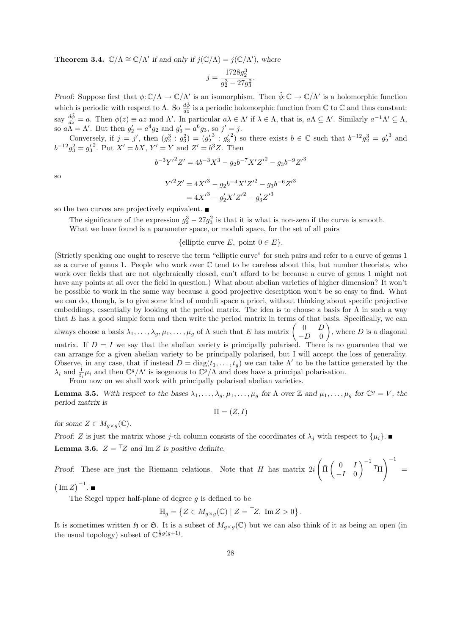**Theorem 3.4.**  $\mathbb{C}/\Lambda \cong \mathbb{C}/\Lambda'$  if and only if  $j(\mathbb{C}/\Lambda) = j(\mathbb{C}/\Lambda')$ , where

$$
j = \frac{1728g_2^3}{g_2^3 - 27g_3^2}.
$$

Proof: Suppose first that  $\phi: \mathbb{C}/\Lambda \to \mathbb{C}/\Lambda'$  is an isomorphism. Then  $\tilde{\phi}: \mathbb{C} \to \mathbb{C}/\Lambda'$  is a holomorphic function which is periodic with respect to  $\Lambda$ . So  $\frac{d\tilde{\phi}}{dz}$  is a periodic holomorphic function from  $\mathbb C$  to  $\mathbb C$  and thus constant: say  $\frac{d\tilde{\phi}}{dz} = a$ . Then  $\phi(z) \equiv az \mod \Lambda'$ . In particular  $a\lambda \in \Lambda'$  if  $\lambda \in \Lambda$ , that is,  $a\Lambda \subseteq \Lambda'$ . Similarly  $a^{-1}\Lambda' \subseteq \Lambda$ , so  $a\tilde{\Lambda} = \Lambda'$ . But then  $g'_2 = a^4 g_2$  and  $g'_3 = a^6 g_3$ , so  $j' = j$ .

Conversely, if  $j = j'$ , then  $(g_2^3 : g_3^2) = (g_2'^3 : g_3'^2)$  so there exists  $b \in \mathbb{C}$  such that  $b^{-12}g_2^3 = g_2'^3$  and  $b^{-12}g_3^2 = g_3'^2$ . Put  $X' = bX$ ,  $Y' = Y$  and  $Z' = b^3Z$ . Then

$$
b^{-3}Y'^2Z' = 4b^{-3}X^3 - g_2b^{-7}X'Z'^2 - g_3b^{-9}Z'^3
$$

so

$$
Y'^{2}Z' = 4X'^{3} - g_{2}b^{-4}X'Z'^{2} - g_{3}b^{-6}Z'^{3}
$$

$$
= 4X'^{3} - g'_{2}X'Z'^{2} - g'_{3}Z'^{3}
$$

so the two curves are projectively equivalent.

The significance of the expression  $g_2^3 - 27g_3^2$  is that it is what is non-zero if the curve is smooth.

What we have found is a parameter space, or moduli space, for the set of all pairs

{elliptic curve E, point  $0 \in E$ }.

(Strictly speaking one ought to reserve the term "elliptic curve" for such pairs and refer to a curve of genus 1 as a curve of genus 1. People who work over C tend to be careless about this, but number theorists, who work over fields that are not algebraically closed, can't afford to be because a curve of genus 1 might not have any points at all over the field in question.) What about abelian varieties of higher dimension? It won't be possible to work in the same way because a good projective description won't be so easy to find. What we can do, though, is to give some kind of moduli space a priori, without thinking about specific projective embeddings, essentially by looking at the period matrix. The idea is to choose a basis for  $\Lambda$  in such a way that  $E$  has a good simple form and then write the period matrix in terms of that basis. Specifically, we can always choose a basis  $\lambda_1, \ldots, \lambda_g, \mu_1, \ldots, \mu_g$  of  $\Lambda$  such that E has matrix  $\begin{pmatrix} 0 & D \\ D & 0 \end{pmatrix}$  $-D$  0 ), where  $D$  is a diagonal matrix. If  $D = I$  we say that the abelian variety is principally polarised. There is no guarantee that we can arrange for a given abelian variety to be principally polarised, but I will accept the loss of generality. Observe, in any case, that if instead  $D = diag(t_1, \ldots, t_g)$  we can take  $\Lambda'$  to be the lattice generated by the

 $\lambda_i$  and  $\frac{1}{t_i}\mu_i$  and then  $\mathbb{C}^g/\Lambda'$  is isogenous to  $\mathbb{C}^g/\Lambda$  and does have a principal polarisation. From now on we shall work with principally polarised abelian varieties.

**Lemma 3.5.** With respect to the bases  $\lambda_1, \ldots, \lambda_g, \mu_1, \ldots, \mu_g$  for  $\Lambda$  over  $\mathbb{Z}$  and  $\mu_1, \ldots, \mu_g$  for  $\mathbb{C}^g = V$ , the period matrix is

 $\Pi = (Z, I)$ 

for some  $Z \in M_{q \times q}(\mathbb{C})$ .

Proof: Z is just the matrix whose j-th column consists of the coordinates of  $\lambda_j$  with respect to  $\{\mu_i\}$ . **Lemma 3.6.**  $Z = TZ$  and Im Z is positive definite.

Proof: These are just the Riemann relations. Note that  $H$  has matrix  $2i$  $\int \bar{\Pi} \begin{pmatrix} 0 & I \\ I & 0 \end{pmatrix}$  $-I \quad 0$  $\Big)^{-1}$   $\top$  $\setminus$ <sup>-1</sup> =

 $(\operatorname{Im} Z)^{-1}$ .

The Siegel upper half-plane of degree  $g$  is defined to be

$$
\mathbb{H}_g = \left\{ Z \in M_{g \times g}(\mathbb{C}) \mid Z = \mathbb{L}Z, \text{ Im } Z > 0 \right\}.
$$

It is sometimes written  $\mathfrak H$  or  $\mathfrak S$ . It is a subset of  $M_{q\times q}(\mathbb{C})$  but we can also think of it as being an open (in the usual topology) subset of  $\mathbb{C}^{\frac{1}{2}g(g+1)}$ .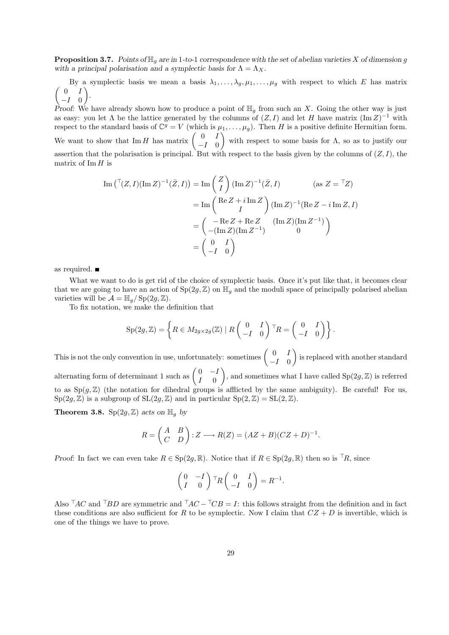**Proposition 3.7.** Points of  $\mathbb{H}_q$  are in 1-to-1 correspondence with the set of abelian varieties X of dimension g with a principal polarisation and a symplectic basis for  $\Lambda = \Lambda_X$ .

By a symplectic basis we mean a basis  $\lambda_1, \ldots, \lambda_g, \mu_1, \ldots, \mu_g$  with respect to which E has matrix  $\begin{pmatrix} 0 & I \end{pmatrix}$  $-I \quad 0$ .

Proof: We have already shown how to produce a point of  $\mathbb{H}_g$  from such an X. Going the other way is just as easy: you let  $\Lambda$  be the lattice generated by the columns of  $(Z, I)$  and let H have matrix  $(\text{Im } Z)^{-1}$  with respect to the standard basis of  $\mathbb{C}^g = V$  (which is  $\mu_1, \ldots, \mu_g$ ). Then H is a positive definite Hermitian form. We want to show that Im H has matrix  $\begin{pmatrix} 0 & I \\ I & 0 \end{pmatrix}$  $-I \quad 0$ with respect to some basis for  $\Lambda$ , so as to justify our assertion that the polarisation is principal. But with respect to the basis given by the columns of  $(Z, I)$ , the matrix of Im  $H$  is

$$
\operatorname{Im}\left(\left(\frac{T(Z, I)(\operatorname{Im} Z)^{-1}(\bar{Z}, I)\right) = \operatorname{Im}\left(\frac{Z}{I}\right)(\operatorname{Im} Z)^{-1}(\bar{Z}, I)\right) \qquad (\text{as } Z = \left(\frac{TZ}{I}\right)
$$
\n
$$
= \operatorname{Im}\left(\frac{\operatorname{Re} Z + i \operatorname{Im} Z}{I}\right)(\operatorname{Im} Z)^{-1}(\operatorname{Re} Z - i \operatorname{Im} Z, I)
$$
\n
$$
= \begin{pmatrix} -\operatorname{Re} Z + \operatorname{Re} Z & (\operatorname{Im} Z)(\operatorname{Im} Z^{-1})\\ -(\operatorname{Im} Z)(\operatorname{Im} Z^{-1}) & 0 \end{pmatrix}
$$
\n
$$
= \begin{pmatrix} 0 & I\\ -I & 0 \end{pmatrix}
$$

as required.

What we want to do is get rid of the choice of symplectic basis. Once it's put like that, it becomes clear that we are going to have an action of  $Sp(2g, \mathbb{Z})$  on  $\mathbb{H}_q$  and the moduli space of principally polarised abelian varieties will be  $\mathcal{A} = \mathbb{H}_q / \operatorname{Sp}(2g, \mathbb{Z}).$ 

To fix notation, we make the definition that

$$
\mathrm{Sp}(2g,\mathbb{Z})=\left\{R\in M_{2g\times 2g}(\mathbb{Z})\mid R\begin{pmatrix}0&I\\-I&0\end{pmatrix}^\top R=\begin{pmatrix}0&I\\-I&0\end{pmatrix}\right\}.
$$

This is not the only convention in use, unfortunately: sometimes  $\begin{pmatrix} 0 & I \\ I & C \end{pmatrix}$  $-I$  0 is replaced with another standard alternating form of determinant 1 such as  $\begin{pmatrix} 0 & -I \\ I & 0 \end{pmatrix}$  $I \quad 0$ ), and sometimes what I have called  $Sp(2g, \mathbb{Z})$  is referred to as  $Sp(g, \mathbb{Z})$  (the notation for dihedral groups is afflicted by the same ambiguity). Be careful! For us,  $Sp(2g, \mathbb{Z})$  is a subgroup of  $SL(2g, \mathbb{Z})$  and in particular  $Sp(2, \mathbb{Z}) = SL(2, \mathbb{Z})$ .

**Theorem 3.8.** Sp $(2g, \mathbb{Z})$  acts on  $\mathbb{H}_q$  by

$$
R = \begin{pmatrix} A & B \\ C & D \end{pmatrix} : Z \longrightarrow R(Z) = (AZ + B)(CZ + D)^{-1}.
$$

Proof: In fact we can even take  $R \in \text{Sp}(2g, \mathbb{R})$ . Notice that if  $R \in \text{Sp}(2g, \mathbb{R})$  then so is <sup>T</sup>R, since

$$
\begin{pmatrix} 0 & -I \ I & 0 \end{pmatrix}^\top R \begin{pmatrix} 0 & I \ -I & 0 \end{pmatrix} = R^{-1}.
$$

Also  $^{\top}AC$  and  $^{\top}BD$  are symmetric and  $^{\top}AC - \frac{\top}CB = I$ : this follows straight from the definition and in fact these conditions are also sufficient for R to be symplectic. Now I claim that  $CZ + D$  is invertible, which is one of the things we have to prove.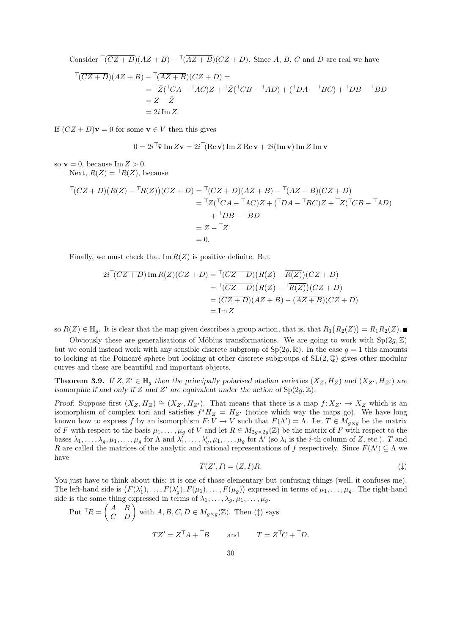Consider  $\sqrt[T]{(CZ+D)}(AZ+B) - \sqrt[T]{(AZ+B)}(CZ+D)$ . Since A, B, C and D are real we have

$$
\begin{aligned}\n\overline{\Gamma(CZ+D)}(AZ+B) - \overline{\Gamma(AZ+B)}(CZ+D) &= \\
&= \overline{\Gamma}\overline{Z}(\overline{\Gamma}CA - \overline{\Gamma}AC)Z + \overline{\Gamma}\overline{Z}(\overline{\Gamma}CB - \overline{\Gamma}AD) + (\overline{\Gamma}DA - \overline{\Gamma}BC) + \overline{\Gamma}DB - \overline{\Gamma}BD \\
&= Z - \overline{Z} \\
&= 2i \operatorname{Im} Z.\n\end{aligned}
$$

If  $(CZ + D)\mathbf{v} = 0$  for some  $\mathbf{v} \in V$  then this gives

$$
0 = 2i^{\top}\bar{\mathbf{v}}\operatorname{Im} Z\mathbf{v} = 2i^{\top}(\operatorname{Re}\mathbf{v})\operatorname{Im} Z\operatorname{Re}\mathbf{v} + 2i(\operatorname{Im}\mathbf{v})\operatorname{Im} Z\operatorname{Im}\mathbf{v}
$$

so  $\mathbf{v} = 0$ , because Im  $Z > 0$ .

Next,  $R(Z) = {}^{T}R(Z)$ , because

$$
T(CZ+D)(R(Z) - TR(Z))(CZ+D) = T(CZ+D)(AZ+B) - T(AZ+B)(CZ+D)
$$
  
= 
$$
TZ(TCA - TAC)Z + (TDA - TBC)Z + TZ(TCB - TAD)
$$
  
+ 
$$
TDB - TBD
$$
  
= 
$$
Z - TZ
$$
  
= 0.

Finally, we must check that  $\text{Im } R(Z)$  is positive definite. But

$$
2i^{\top}(\overline{CZ+D}) \operatorname{Im} R(Z)(CZ+D) = \frac{\top(\overline{CZ+D})(R(Z) - \overline{R(Z)})(CZ+D)}{\top(\overline{CZ+D})(R(Z) - \overline{R(Z)})(CZ+D)}
$$
  
= 
$$
\frac{\top(\overline{CZ+D})(R(Z) - \overline{R(Z)})(CZ+D)}{\top(\overline{CZ+D})(AZ+B) - (\overline{AZ+B})(CZ+D)}
$$
  
= 
$$
\operatorname{Im} Z
$$

so  $R(Z) \in \mathbb{H}_g$ . It is clear that the map given describes a group action, that is, that  $R_1(R_2(Z)) = R_1 R_2(Z)$ .

Obviously these are generalisations of Möbius transformations. We are going to work with  $Sp(2q, \mathbb{Z})$ but we could instead work with any sensible discrete subgroup of  $Sp(2g, \mathbb{R})$ . In the case  $g = 1$  this amounts to looking at the Poincaré sphere but looking at other discrete subgroups of  $SL(2, \mathbb{Q})$  gives other modular curves and these are beautiful and important objects.

**Theorem 3.9.** If  $Z, Z' \in \mathbb{H}_g$  then the principally polarised abelian varieties  $(X_Z, H_Z)$  and  $(X_{Z'}, H_{Z'})$  are isomorphic if and only if Z and Z' are equivalent under the action of  $Sp(2g, \mathbb{Z})$ .

Proof: Suppose first  $(X_Z, H_Z) \cong (X_{Z'}, H_{Z'})$ . That means that there is a map  $f: X_{Z'} \to X_Z$  which is an isomorphism of complex tori and satisfies  $f^*H_Z = H_{Z'}$  (notice which way the maps go). We have long known how to express f by an isomorphism  $F: V \to V$  such that  $F(\Lambda') = \Lambda$ . Let  $T \in M_{g \times g}$  be the matrix of F with respect to the basis  $\mu_1, \ldots, \mu_g$  of V and let  $R \in M_{2g \times 2g}(\mathbb{Z})$  be the matrix of F with respect to the bases  $\lambda_1,\ldots,\lambda_g,\mu_1,\ldots,\mu_g$  for  $\Lambda$  and  $\lambda'_1,\ldots,\lambda'_g,\mu_1,\ldots,\mu_g$  for  $\Lambda'$  (so  $\lambda_i$  is the *i*-th column of Z, etc.). T and R are called the matrices of the analytic and rational representations of f respectively. Since  $F(\Lambda') \subseteq \Lambda$  we have

$$
T(Z', I) = (Z, I)R.\tag{†}
$$

You just have to think about this: it is one of those elementary but confusing things (well, it confuses me). The left-hand side is  $(F(\lambda'_1),...,F(\lambda'_g),F(\mu_1),...,F(\mu_g))$  expressed in terms of  $\mu_1,...,\mu_g$ . The right-hand side is the same thing expressed in terms of  $\lambda_1, \ldots, \lambda_g, \mu_1, \ldots, \mu_g$ .

Put 
$$
{}^{\top}R = \begin{pmatrix} A & B \\ C & D \end{pmatrix}
$$
 with  $A, B, C, D \in M_{g \times g}(\mathbb{Z})$ . Then (†) says  

$$
TZ' = Z^{\top}A + {}^{\top}B \quad \text{and} \quad T = Z^{\top}C + {}^{\top}D.
$$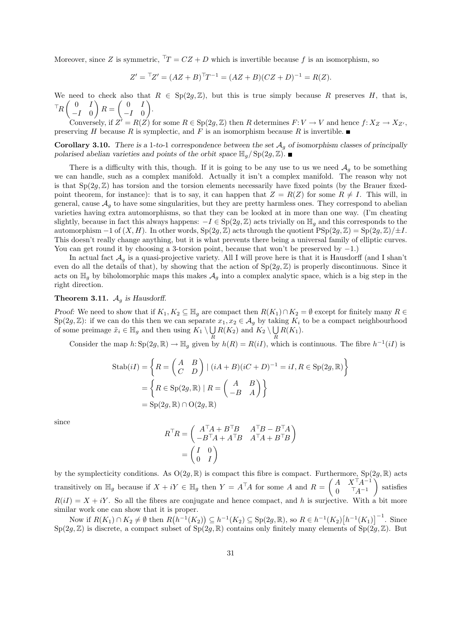Moreover, since Z is symmetric,  $T T = CZ + D$  which is invertible because f is an isomorphism, so

$$
Z' = {}^{\top}Z' = (AZ + B)^{\top}T^{-1} = (AZ + B)(CZ + D)^{-1} = R(Z).
$$

We need to check also that  $R \in Sp(2g, \mathbb{Z})$ , but this is true simply because R preserves H, that is,  $\mathbb{T}_R\left(\begin{array}{cc} 0 & I \\ I & 0 \end{array}\right)$  $-I \quad 0$  $R = \begin{pmatrix} 0 & I \\ I & 0 \end{pmatrix}$  $-I \quad 0$ .

Conversely, if  $Z^{\prime} = R(Z)$  for some  $R \in \text{Sp}(2g, \mathbb{Z})$  then R determines  $F: V \to V$  and hence  $f: X_Z \to X_{Z'}$ , preserving H because R is symplectic, and F is an isomorphism because R is invertible.

**Corollary 3.10.** There is a 1-to-1 correspondence between the set  $A<sub>q</sub>$  of isomorphism classes of principally polarised abelian varieties and points of the orbit space  $\mathbb{H}_q / Sp(2q, \mathbb{Z})$ .

There is a difficulty with this, though. If it is going to be any use to us we need  $\mathcal{A}_g$  to be something we can handle, such as a complex manifold. Actually it isn't a complex manifold. The reason why not is that  $Sp(2g, \mathbb{Z})$  has torsion and the torsion elements necessarily have fixed points (by the Brauer fixedpoint theorem, for instance): that is to say, it can happen that  $Z = R(Z)$  for some  $R \neq I$ . This will, in general, cause  $A_q$  to have some singularities, but they are pretty harmless ones. They correspond to abelian varieties having extra automorphisms, so that they can be looked at in more than one way. (I'm cheating slightly, because in fact this always happens:  $-I \in Sp(2q, \mathbb{Z})$  acts trivially on  $\mathbb{H}_q$  and this corresponds to the automorphism  $-1$  of  $(X, H)$ . In other words,  $Sp(2q, \mathbb{Z})$  acts through the quotient  $PSp(2q, \mathbb{Z}) = Sp(2q, \mathbb{Z})/±I$ . This doesn't really change anything, but it is what prevents there being a universal family of elliptic curves. You can get round it by choosing a 3-torsion point, because that won't be preserved by −1.)

In actual fact  $\mathcal{A}_q$  is a quasi-projective variety. All I will prove here is that it is Hausdorff (and I shan't even do all the details of that), by showing that the action of  $Sp(2g, \mathbb{Z})$  is properly discontinuous. Since it acts on  $\mathbb{H}_q$  by biholomorphic maps this makes  $\mathcal{A}_q$  into a complex analytic space, which is a big step in the right direction.

## **Theorem 3.11.**  $A_q$  is Hausdorff.

Proof: We need to show that if  $K_1, K_2 \subseteq \mathbb{H}_q$  are compact then  $R(K_1) \cap K_2 = \emptyset$  except for finitely many  $R \in$  $Sp(2g, \mathbb{Z})$ : if we can do this then we can separate  $x_1, x_2 \in \mathcal{A}_g$  by taking  $K_i$  to be a compact neighbourhood of some preimage  $\tilde{x}_i \in \mathbb{H}_g$  and then using  $K_1 \setminus \bigcup$  $\bigcup_R R(K_2)$  and  $K_2 \setminus \bigcup_R$  $\bigcup_R R(K_1).$ 

Consider the map  $h: Sp(2g, \mathbb{R}) \to \mathbb{H}_g$  given by  $h(R) = R(iI)$ , which is continuous. The fibre  $h^{-1}(iI)$  is

$$
\text{Stab}(iI) = \left\{ R = \begin{pmatrix} A & B \\ C & D \end{pmatrix} \mid (iA + B)(iC + D)^{-1} = iI, R \in \text{Sp}(2g, \mathbb{R}) \right\}
$$

$$
= \left\{ R \in \text{Sp}(2g, \mathbb{R}) \mid R = \begin{pmatrix} A & B \\ -B & A \end{pmatrix} \right\}
$$

$$
= \text{Sp}(2g, \mathbb{R}) \cap \text{O}(2g, \mathbb{R})
$$

since

$$
R^{\top}R = \begin{pmatrix} A^{\top}A + B^{\top}B & A^{\top}B - B^{\top}A \\ -B^{\top}A + A^{\top}B & A^{\top}A + B^{\top}B \end{pmatrix}
$$

$$
= \begin{pmatrix} I & 0 \\ 0 & I \end{pmatrix}
$$

by the symplecticity conditions. As  $O(2g, \mathbb{R})$  is compact this fibre is compact. Furthermore,  $Sp(2g, \mathbb{R})$  acts transitively on  $\mathbb{H}_g$  because if  $X + iY \in \mathbb{H}_g$  then  $Y = A^{\top}A$  for some A and  $R = \begin{pmatrix} A & X^{\top}A^{-1} \\ 0 & \top A^{-1} \end{pmatrix}$  $0 \t T_A^{-1}$  satisfies  $R(iI) = X + iY$ . So all the fibres are conjugate and hence compact, and h is surjective. With a bit more similar work one can show that it is proper.

Now if  $R(K_1) \cap K_2 \neq \emptyset$  then  $R(h^{-1}(K_2)) \subseteq h^{-1}(K_2) \subseteq \text{Sp}(2g, \mathbb{R})$ , so  $R \in h^{-1}(K_2)[h^{-1}(K_1)]^{-1}$ . Since  $Sp(2g, \mathbb{Z})$  is discrete, a compact subset of  $Sp(2g, \mathbb{R})$  contains only finitely many elements of  $Sp(2g, \mathbb{Z})$ . But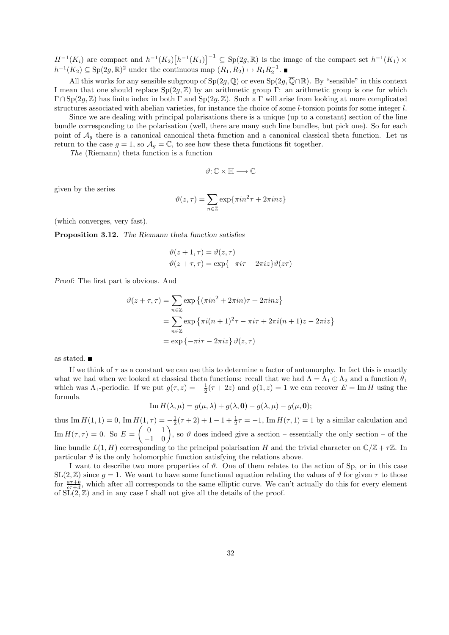$H^{-1}(K_i)$  are compact and  $h^{-1}(K_2)\left[h^{-1}(K_1)\right]^{-1} \subseteq \text{Sp}(2g,\mathbb{R})$  is the image of the compact set  $h^{-1}(K_1) \times$  $h^{-1}(K_2) \subseteq \text{Sp}(2g, \mathbb{R})^2$  under the continuous map  $(R_1, R_2) \mapsto R_1 R_2^{-1}$ .

All this works for any sensible subgroup of  $Sp(2g, \mathbb{Q})$  or even  $Sp(2g, \overline{\mathbb{Q}} \cap \mathbb{R})$ . By "sensible" in this context I mean that one should replace  $Sp(2g, \mathbb{Z})$  by an arithmetic group Γ: an arithmetic group is one for which  $\Gamma \cap Sp(2q, \mathbb{Z})$  has finite index in both Γ and  $Sp(2q, \mathbb{Z})$ . Such a Γ will arise from looking at more complicated structures associated with abelian varieties, for instance the choice of some l-torsion points for some integer l.

Since we are dealing with principal polarisations there is a unique (up to a constant) section of the line bundle corresponding to the polarisation (well, there are many such line bundles, but pick one). So for each point of  $A<sub>q</sub>$  there is a canonical canonical theta function and a canonical classical theta function. Let us return to the case  $g = 1$ , so  $\mathcal{A}_g = \mathbb{C}$ , to see how these theta functions fit together.

The (Riemann) theta function is a function

$$
\vartheta{:}\,\mathbb{C}\times\mathbb{H}\longrightarrow\mathbb{C}
$$

given by the series

$$
\vartheta(z,\tau) = \sum_{n \in \mathbb{Z}} \exp\{\pi i n^2 \tau + 2\pi i n z\}
$$

(which converges, very fast).

Proposition 3.12. The Riemann theta function satisfies

$$
\vartheta(z+1,\tau) = \vartheta(z,\tau)
$$

$$
\vartheta(z+\tau,\tau) = \exp{-\pi i\tau - 2\pi i z} \vartheta(z\tau)
$$

Proof: The first part is obvious. And

$$
\vartheta(z+\tau,\tau) = \sum_{n\in\mathbb{Z}} \exp\left\{ (\pi i n^2 + 2\pi i n)\tau + 2\pi i n z \right\}
$$

$$
= \sum_{n\in\mathbb{Z}} \exp\left\{ \pi i (n+1)^2 \tau - \pi i \tau + 2\pi i (n+1) z - 2\pi i z \right\}
$$

$$
= \exp\left\{ -\pi i \tau - 2\pi i z \right\} \vartheta(z,\tau)
$$

as stated.

If we think of  $\tau$  as a constant we can use this to determine a factor of automorphy. In fact this is exactly what we had when we looked at classical theta functions: recall that we had  $\Lambda = \Lambda_1 \oplus \Lambda_2$  and a function  $\theta_1$ which was  $\Lambda_1$ -periodic. If we put  $g(\tau, z) = -\frac{1}{2}(\tau + 2z)$  and  $g(1, z) = 1$  we can recover  $E = \text{Im } H$  using the formula

Im 
$$
H(\lambda, \mu) = g(\mu, \lambda) + g(\lambda, \mathbf{0}) - g(\lambda, \mu) - g(\mu, \mathbf{0});
$$

thus Im  $H(1, 1) = 0$ , Im  $H(1, \tau) = -\frac{1}{2}(\tau + 2) + 1 - 1 + \frac{1}{2}\tau = -1$ , Im  $H(\tau, 1) = 1$  by a similar calculation and  $\text{Im } H(\tau, \tau) = 0.$  So  $E = \begin{pmatrix} 0 & 1 \\ -1 & 0 \end{pmatrix}$ , so  $\vartheta$  does indeed give a section – essentially the only section – of the line bundle  $L(1, H)$  corresponding to the principal polarisation H and the trivial character on  $\mathbb{C}/\mathbb{Z} + \tau \mathbb{Z}$ . In particular  $\vartheta$  is the only holomorphic function satisfying the relations above.

I want to describe two more properties of  $\vartheta$ . One of them relates to the action of Sp, or in this case  $SL(2, \mathbb{Z})$  since  $q = 1$ . We want to have some functional equation relating the values of  $\vartheta$  for given  $\tau$  to those for  $\frac{a\tau+b}{c\tau+d}$ , which after all corresponds to the same elliptic curve. We can't actually do this for every element of  $\widetilde{\mathrm{SL}}(2,\mathbb{Z})$  and in any case I shall not give all the details of the proof.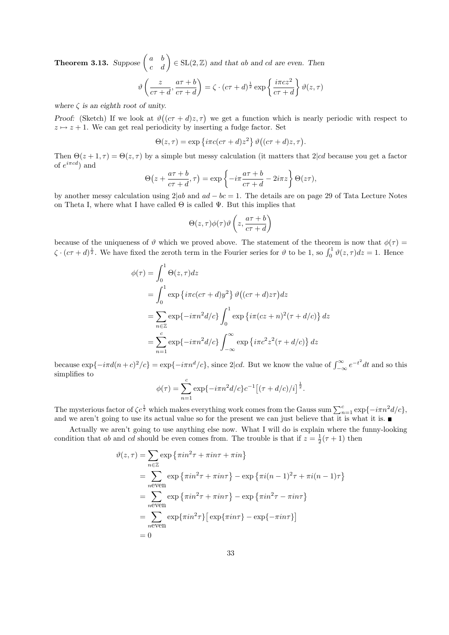**Theorem 3.13.** Suppose  $\begin{pmatrix} a & b \\ c & d \end{pmatrix} \in SL(2, \mathbb{Z})$  and that ab and cd are even. Then

$$
\vartheta\left(\frac{z}{c\tau+d}, \frac{a\tau+b}{c\tau+d}\right) = \zeta \cdot (c\tau+d)^{\frac{1}{2}} \exp\left\{\frac{i\pi cz^2}{c\tau+d}\right\} \vartheta(z,\tau)
$$

where  $\zeta$  is an eighth root of unity.

Proof: (Sketch) If we look at  $\vartheta((c\tau+d)z,\tau)$  we get a function which is nearly periodic with respect to  $z \mapsto z + 1$ . We can get real periodicity by inserting a fudge factor. Set

$$
\Theta(z,\tau) = \exp\left\{i\pi c(c\tau+d)z^2\right\}\vartheta\big((c\tau+d)z,\tau\big).
$$

Then  $\Theta(z+1,\tau) = \Theta(z,\tau)$  by a simple but messy calculation (it matters that 2|cd because you get a factor of  $e^{i\pi c d}$  and

$$
\Theta\!\left(z+\frac{a\tau+b}{c\tau+d},\tau\right)=\exp\left\{-i\pi\frac{a\tau+b}{c\tau+d}-2i\pi z\right\}\Theta\!\left(z\tau\right),\!
$$

by another messy calculation using  $2|ab$  and  $ad - bc = 1$ . The details are on page 29 of Tata Lecture Notes on Theta I, where what I have called  $\Theta$  is called  $\Psi$ . But this implies that

$$
\Theta(z,\tau)\phi(\tau)\vartheta\left(z,\frac{a\tau+b}{c\tau+d}\right)
$$

because of the uniqueness of  $\vartheta$  which we proved above. The statement of the theorem is now that  $\phi(\tau)$  $\zeta \cdot (c\tau + d)^{\frac{1}{2}}$ . We have fixed the zeroth term in the Fourier series for  $\vartheta$  to be 1, so  $\int_0^1 \vartheta(z, \tau) dz = 1$ . Hence

$$
\phi(\tau) = \int_0^1 \Theta(z, \tau) dz
$$
  
= 
$$
\int_0^1 \exp\left\{i\pi c (c\tau + d)y^2\right\} \vartheta\left((c\tau + d)z\tau\right) dz
$$
  
= 
$$
\sum_{n \in \mathbb{Z}} \exp\{-i\pi n^2 d/c\} \int_0^1 \exp\left\{i\pi (cz + n)^2 (\tau + d/c)\right\} dz
$$
  
= 
$$
\sum_{n=1}^c \exp\{-i\pi n^2 d/c\} \int_{-\infty}^{\infty} \exp\left\{i\pi c^2 z^2 (\tau + d/c)\right\} dz
$$

because  $\exp\{-i\pi d(n+c)^2/c\} = \exp\{-i\pi n^d/c\}$ , since 2|cd. But we know the value of  $\int_{-\infty}^{\infty} e^{-t^2} dt$  and so this simplifies to

$$
\phi(\tau) = \sum_{n=1}^{c} \exp\{-i\pi n^2 d/c\} c^{-1} \left[ (\tau + d/c)/i \right]^{\frac{1}{2}}.
$$

The mysterious factor of  $\zeta c^{\frac{1}{2}}$  which makes everything work comes from the Gauss sum  $\sum_{n=1}^{c} \exp\{-i\pi n^2 d/c\}$ , and we aren't going to use its actual value so for the present we can just believe that it is what it is.

Actually we aren't going to use anything else now. What I will do is explain where the funny-looking condition that ab and cd should be even comes from. The trouble is that if  $z = \frac{1}{2}(\tau + 1)$  then

$$
\vartheta(z,\tau) = \sum_{n\in\mathbb{Z}} \exp\left\{\pi i n^2 \tau + \pi i n \tau + \pi i n\right\}
$$
  
\n
$$
= \sum_{n\text{even}} \exp\left\{\pi i n^2 \tau + \pi i n \tau\right\} - \exp\left\{\pi i (n-1)^2 \tau + \pi i (n-1) \tau\right\}
$$
  
\n
$$
= \sum_{n\text{even}} \exp\left\{\pi i n^2 \tau + \pi i n \tau\right\} - \exp\left\{\pi i n^2 \tau - \pi i n \tau\right\}
$$
  
\n
$$
= \sum_{n\text{even}} \exp\{\pi i n^2 \tau\} \left[\exp\{\pi i n \tau\} - \exp\{-\pi i n \tau\}\right]
$$
  
\n
$$
= 0
$$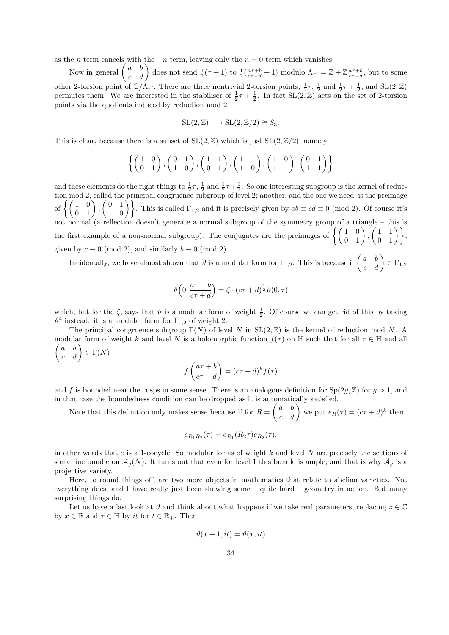as the n term cancels with the  $-n$  term, leaving only the  $n = 0$  term which vanishes.

Now in general  $\begin{pmatrix} a & b \\ c & d \end{pmatrix}$  does not send  $\frac{1}{2}(\tau+1)$  to  $\frac{1}{2}(\frac{a\tau+b}{c\tau+d}+1)$  modulo  $\Lambda_{\tau'} = \mathbb{Z} + \mathbb{Z} \frac{a\tau+b}{c\tau+d}$ , but to some other 2-torsion point of  $\mathbb{C}/\Lambda_{\tau'}$ . There are three nontrivial 2-torsion points,  $\frac{1}{2}\tau$ ,  $\frac{1}{2}$  and  $\frac{1}{2}\tau + \frac{1}{2}$ , and  $SL(2,\mathbb{Z})$ permutes them. We are interested in the stabiliser of  $\frac{1}{2}\tau + \frac{1}{2}$ . In fact  $SL(2, \mathbb{Z})$  acts on the set of 2-torsion points via the quotients induced by reduction mod 2

$$
SL(2, \mathbb{Z}) \longrightarrow SL(2, \mathbb{Z}/2) \cong S_3.
$$

This is clear, because there is a subset of  $SL(2, \mathbb{Z})$  which is just  $SL(2, \mathbb{Z}/2)$ , namely

$$
\left\{ \begin{pmatrix} 1 & 0 \\ 0 & 1 \end{pmatrix}, \begin{pmatrix} 0 & 1 \\ 1 & 0 \end{pmatrix}, \begin{pmatrix} 1 & 1 \\ 0 & 1 \end{pmatrix}, \begin{pmatrix} 1 & 1 \\ 1 & 0 \end{pmatrix}, \begin{pmatrix} 1 & 0 \\ 1 & 1 \end{pmatrix}, \begin{pmatrix} 0 & 1 \\ 1 & 1 \end{pmatrix} \right\}
$$

and these elements do the right things to  $\frac{1}{2}\tau$ ,  $\frac{1}{2}$  and  $\frac{1}{2}\tau+\frac{1}{2}$ . So one interesting subgroup is the kernel of reduction mod 2, called the principal congruence subgroup of level 2; another, and the one we need, is the preimage of  $\left\{ \begin{pmatrix} 1 & 0 \\ 0 & 1 \end{pmatrix}, \begin{pmatrix} 0 & 1 \\ 1 & 0 \end{pmatrix} \right\}$ . This is called  $\Gamma_{1,2}$  and it is precisely given by  $ab \equiv cd \equiv 0 \pmod{2}$ . Of course it's not normal (a reflection doesn't generate a normal subgroup of the symmetry group of a triangle – this is the first example of a non-normal subgroup). The conjugates are the preimages of  $\left\{ \begin{pmatrix} 1 & 0 \\ 0 & 1 \end{pmatrix}, \begin{pmatrix} 1 & 1 \\ 0 & 1 \end{pmatrix} \right\}$ given by  $c \equiv 0 \pmod{2}$ , and similarly  $b \equiv 0 \pmod{2}$ .

Incidentally, we have almost shown that  $\vartheta$  is a modular form for  $\Gamma_{1,2}$ . This is because if  $\begin{pmatrix} a & b \\ c & d \end{pmatrix} \in \Gamma_{1,2}$ 

$$
\vartheta\Big(0,\frac{a\tau+b}{c\tau+d}\Big)=\zeta\cdot(c\tau+d)^{\frac{1}{2}}\vartheta(0,\tau)
$$

which, but for the  $\zeta$ , says that  $\vartheta$  is a modular form of weight  $\frac{1}{2}$ . Of course we can get rid of this by taking  $\vartheta^4$  instead: it is a modular form for  $\Gamma_{1,2}$  of weight 2.

The principal congruence subgroup  $\Gamma(N)$  of level N in  $SL(2, \mathbb{Z})$  is the kernel of reduction mod N. A modular form of weight k and level N is a holomorphic function  $f(\tau)$  on  $\mathbb H$  such that for all  $\tau \in \mathbb H$  and all  $\begin{pmatrix} a & b \\ c & d \end{pmatrix} \in \Gamma(N)$ 

$$
f\left(\frac{a\tau+b}{c\tau+d}\right) = (c\tau+d)^k f(\tau)
$$

and f is bounded near the cusps in some sense. There is an analogous definition for  $Sp(2g, \mathbb{Z})$  for  $g > 1$ , and in that case the boundedness condition can be dropped as it is automatically satisfied.

Note that this definition only makes sense because if for  $R = \begin{pmatrix} a & b \\ c & d \end{pmatrix}$  we put  $e_R(\tau) = (c\tau + d)^k$  then

$$
e_{R_1R_2}(\tau) = e_{R_1}(R_2\tau)e_{R_2}(\tau),
$$

in other words that  $e$  is a 1-cocycle. So modular forms of weight k and level N are precisely the sections of some line bundle on  $\mathcal{A}_q(N)$ . It turns out that even for level 1 this bundle is ample, and that is why  $\mathcal{A}_q$  is a projective variety.

Here, to round things off, are two more objects in mathematics that relate to abelian varieties. Not everything does, and I have really just been showing some – quite hard – geometry in action. But many surprising things do.

Let us have a last look at  $\vartheta$  and think about what happens if we take real parameters, replacing  $z \in \mathbb{C}$ by  $x \in \mathbb{R}$  and  $\tau \in \mathbb{H}$  by it for  $t \in \mathbb{R}_+$ . Then

$$
\vartheta(x+1, it) = \vartheta(x, it)
$$